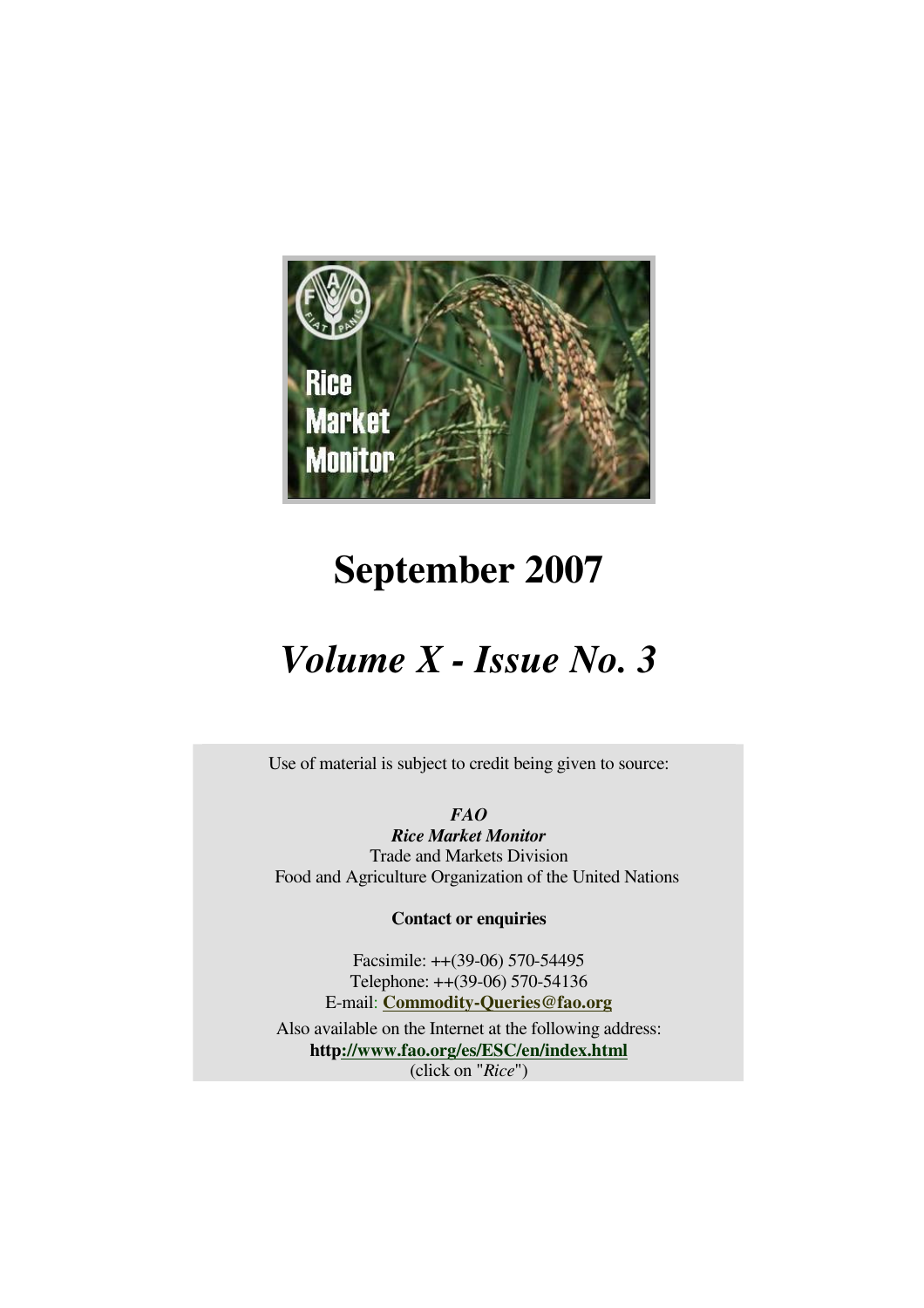

# **September 2007**

# *Volume X - Issue No. 3*

Use of material is subject to credit being given to source:

*FAO* 

*Rice Market Monitor*  Trade and Markets Division Food and Agriculture Organization of the United Nations

**Contact or enquiries**

Facsimile: ++(39-06) 570-54495 Telephone: ++(39-06) 570-54136 E-mail: **Commodity-Queries@fao.org**

Also available on the Internet at the following address: **http://www.fao.org/es/ESC/en/index.html** (click on "*Rice*")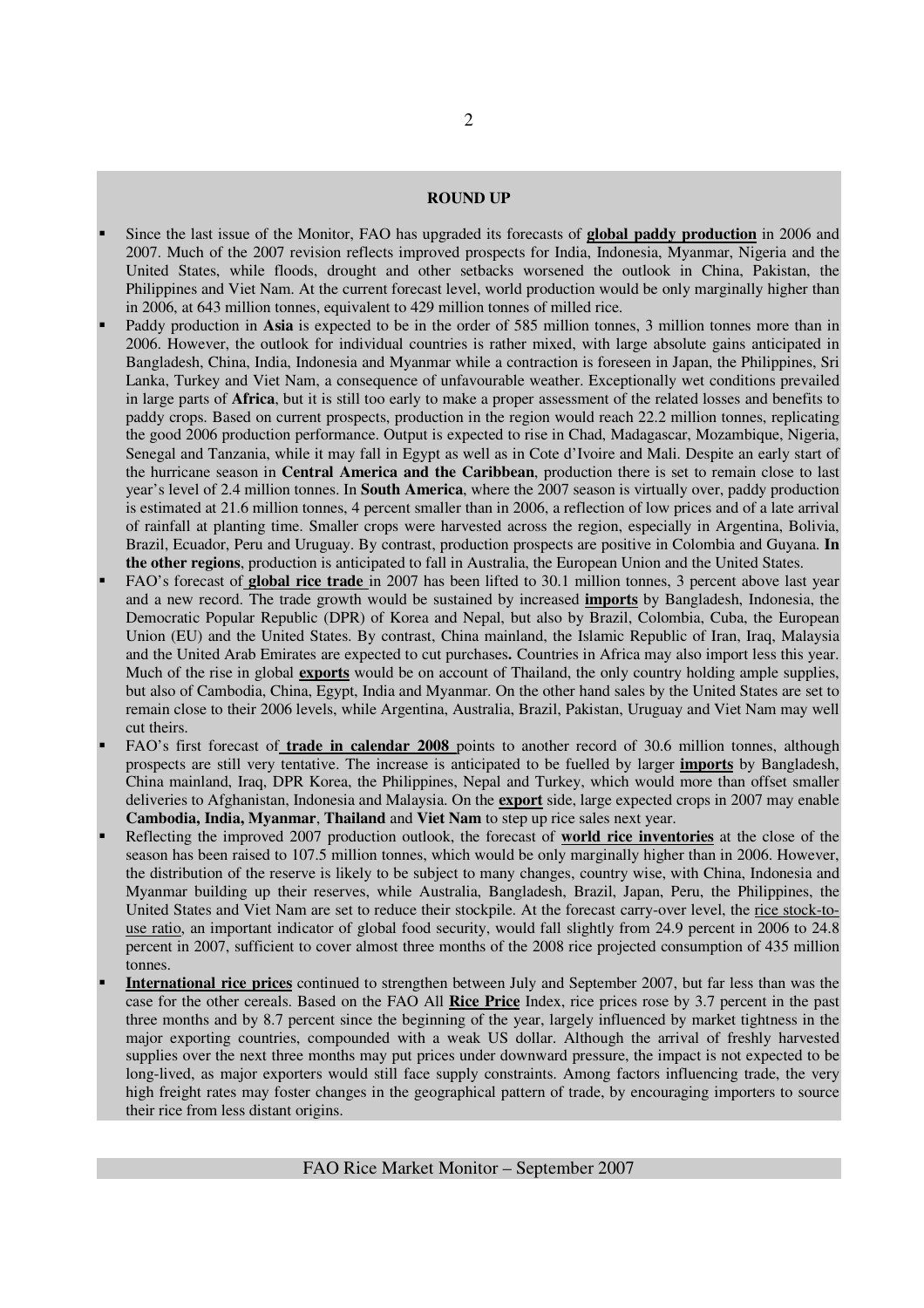#### **ROUND UP**

- Since the last issue of the Monitor, FAO has upgraded its forecasts of **global paddy production** in 2006 and 2007. Much of the 2007 revision reflects improved prospects for India, Indonesia, Myanmar, Nigeria and the United States, while floods, drought and other setbacks worsened the outlook in China, Pakistan, the Philippines and Viet Nam. At the current forecast level, world production would be only marginally higher than in 2006, at 643 million tonnes, equivalent to 429 million tonnes of milled rice.
- Paddy production in **Asia** is expected to be in the order of 585 million tonnes, 3 million tonnes more than in 2006. However, the outlook for individual countries is rather mixed, with large absolute gains anticipated in Bangladesh, China, India, Indonesia and Myanmar while a contraction is foreseen in Japan, the Philippines, Sri Lanka, Turkey and Viet Nam, a consequence of unfavourable weather. Exceptionally wet conditions prevailed in large parts of **Africa**, but it is still too early to make a proper assessment of the related losses and benefits to paddy crops. Based on current prospects, production in the region would reach 22.2 million tonnes, replicating the good 2006 production performance. Output is expected to rise in Chad, Madagascar, Mozambique, Nigeria, Senegal and Tanzania, while it may fall in Egypt as well as in Cote d'Ivoire and Mali. Despite an early start of the hurricane season in **Central America and the Caribbean**, production there is set to remain close to last year's level of 2.4 million tonnes. In **South America**, where the 2007 season is virtually over, paddy production is estimated at 21.6 million tonnes, 4 percent smaller than in 2006, a reflection of low prices and of a late arrival of rainfall at planting time. Smaller crops were harvested across the region, especially in Argentina, Bolivia, Brazil, Ecuador, Peru and Uruguay. By contrast, production prospects are positive in Colombia and Guyana. **In the other regions**, production is anticipated to fall in Australia, the European Union and the United States.
- FAO's forecast of **global rice trade** in 2007 has been lifted to 30.1 million tonnes, 3 percent above last year and a new record. The trade growth would be sustained by increased **imports** by Bangladesh, Indonesia, the Democratic Popular Republic (DPR) of Korea and Nepal, but also by Brazil, Colombia, Cuba, the European Union (EU) and the United States. By contrast, China mainland, the Islamic Republic of Iran, Iraq, Malaysia and the United Arab Emirates are expected to cut purchases**.** Countries in Africa may also import less this year. Much of the rise in global **exports** would be on account of Thailand, the only country holding ample supplies, but also of Cambodia, China, Egypt, India and Myanmar. On the other hand sales by the United States are set to remain close to their 2006 levels, while Argentina, Australia, Brazil, Pakistan, Uruguay and Viet Nam may well cut theirs.
- FAO's first forecast of **trade in calendar 2008** points to another record of 30.6 million tonnes, although prospects are still very tentative. The increase is anticipated to be fuelled by larger **imports** by Bangladesh, China mainland, Iraq, DPR Korea, the Philippines, Nepal and Turkey, which would more than offset smaller deliveries to Afghanistan, Indonesia and Malaysia. On the **export** side, large expected crops in 2007 may enable **Cambodia, India, Myanmar**, **Thailand** and **Viet Nam** to step up rice sales next year.
- Reflecting the improved 2007 production outlook, the forecast of **world rice inventories** at the close of the season has been raised to 107.5 million tonnes, which would be only marginally higher than in 2006. However, the distribution of the reserve is likely to be subject to many changes, country wise, with China, Indonesia and Myanmar building up their reserves, while Australia, Bangladesh, Brazil, Japan, Peru, the Philippines, the United States and Viet Nam are set to reduce their stockpile. At the forecast carry-over level, the rice stock-touse ratio, an important indicator of global food security, would fall slightly from 24.9 percent in 2006 to 24.8 percent in 2007, sufficient to cover almost three months of the 2008 rice projected consumption of 435 million tonnes.
- **International rice prices** continued to strengthen between July and September 2007, but far less than was the case for the other cereals. Based on the FAO All **Rice Price** Index, rice prices rose by 3.7 percent in the past three months and by 8.7 percent since the beginning of the year, largely influenced by market tightness in the major exporting countries, compounded with a weak US dollar. Although the arrival of freshly harvested supplies over the next three months may put prices under downward pressure, the impact is not expected to be long-lived, as major exporters would still face supply constraints. Among factors influencing trade, the very high freight rates may foster changes in the geographical pattern of trade, by encouraging importers to source their rice from less distant origins.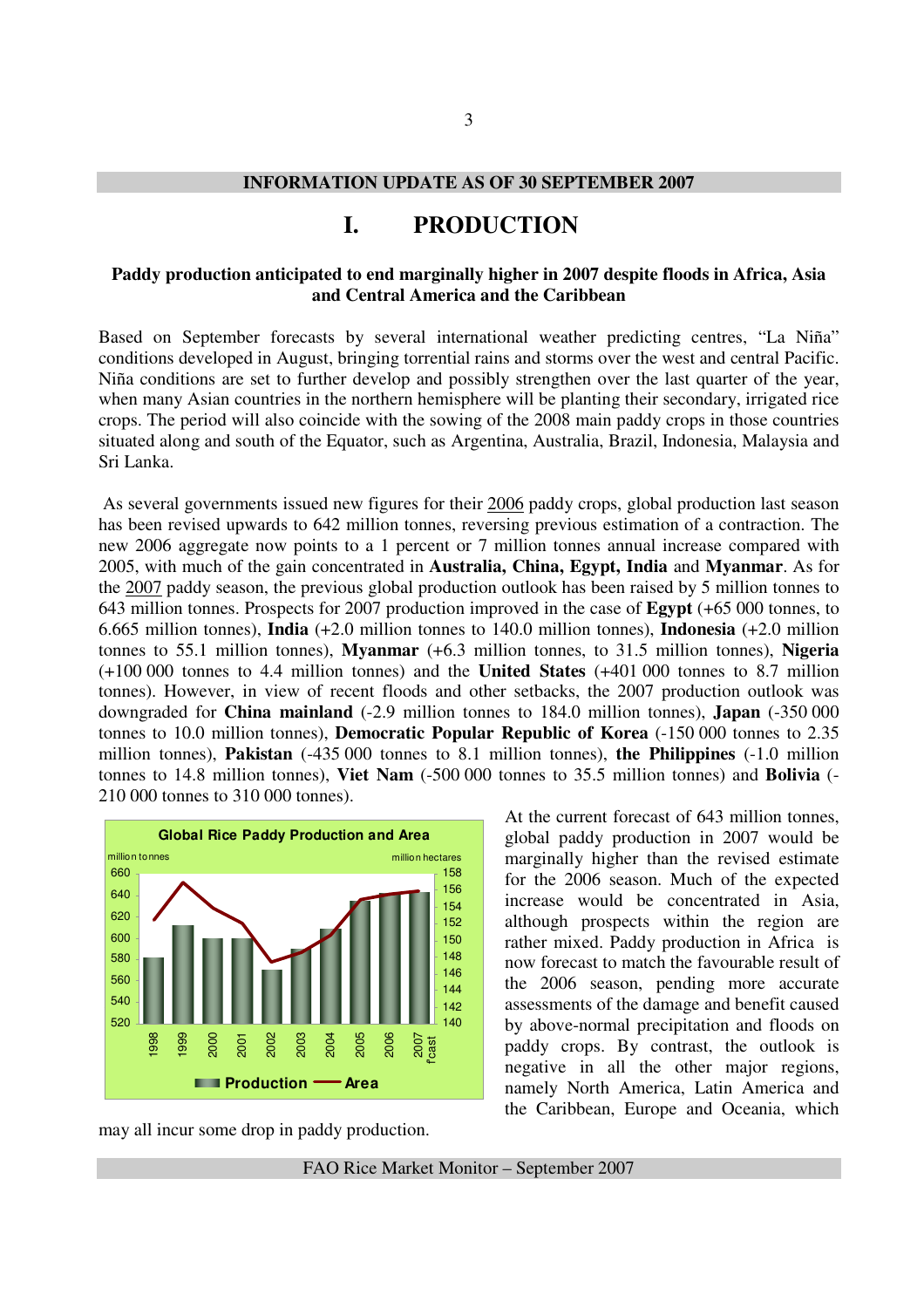#### **INFORMATION UPDATE AS OF 30 SEPTEMBER 2007**

# **I. PRODUCTION**

#### **Paddy production anticipated to end marginally higher in 2007 despite floods in Africa, Asia and Central America and the Caribbean**

Based on September forecasts by several international weather predicting centres, "La Niña" conditions developed in August, bringing torrential rains and storms over the west and central Pacific. Niña conditions are set to further develop and possibly strengthen over the last quarter of the year, when many Asian countries in the northern hemisphere will be planting their secondary, irrigated rice crops. The period will also coincide with the sowing of the 2008 main paddy crops in those countries situated along and south of the Equator, such as Argentina, Australia, Brazil, Indonesia, Malaysia and Sri Lanka.

 As several governments issued new figures for their 2006 paddy crops, global production last season has been revised upwards to 642 million tonnes, reversing previous estimation of a contraction. The new 2006 aggregate now points to a 1 percent or 7 million tonnes annual increase compared with 2005, with much of the gain concentrated in **Australia, China, Egypt, India** and **Myanmar**. As for the 2007 paddy season, the previous global production outlook has been raised by 5 million tonnes to 643 million tonnes. Prospects for 2007 production improved in the case of **Egypt** (+65 000 tonnes, to 6.665 million tonnes), **India** (+2.0 million tonnes to 140.0 million tonnes), **Indonesia** (+2.0 million tonnes to 55.1 million tonnes), **Myanmar** (+6.3 million tonnes, to 31.5 million tonnes), **Nigeria** (+100 000 tonnes to 4.4 million tonnes) and the **United States** (+401 000 tonnes to 8.7 million tonnes). However, in view of recent floods and other setbacks, the 2007 production outlook was downgraded for **China mainland** (-2.9 million tonnes to 184.0 million tonnes), **Japan** (-350 000 tonnes to 10.0 million tonnes), **Democratic Popular Republic of Korea** (-150 000 tonnes to 2.35 million tonnes), **Pakistan** (-435 000 tonnes to 8.1 million tonnes), **the Philippines** (-1.0 million tonnes to 14.8 million tonnes), **Viet Nam** (-500 000 tonnes to 35.5 million tonnes) and **Bolivia** (- 210 000 tonnes to 310 000 tonnes).



global paddy production in 2007 would be marginally higher than the revised estimate for the 2006 season. Much of the expected increase would be concentrated in Asia, although prospects within the region are rather mixed. Paddy production in Africa is now forecast to match the favourable result of the 2006 season, pending more accurate assessments of the damage and benefit caused by above-normal precipitation and floods on paddy crops. By contrast, the outlook is negative in all the other major regions, namely North America, Latin America and the Caribbean, Europe and Oceania, which

At the current forecast of 643 million tonnes,

may all incur some drop in paddy production.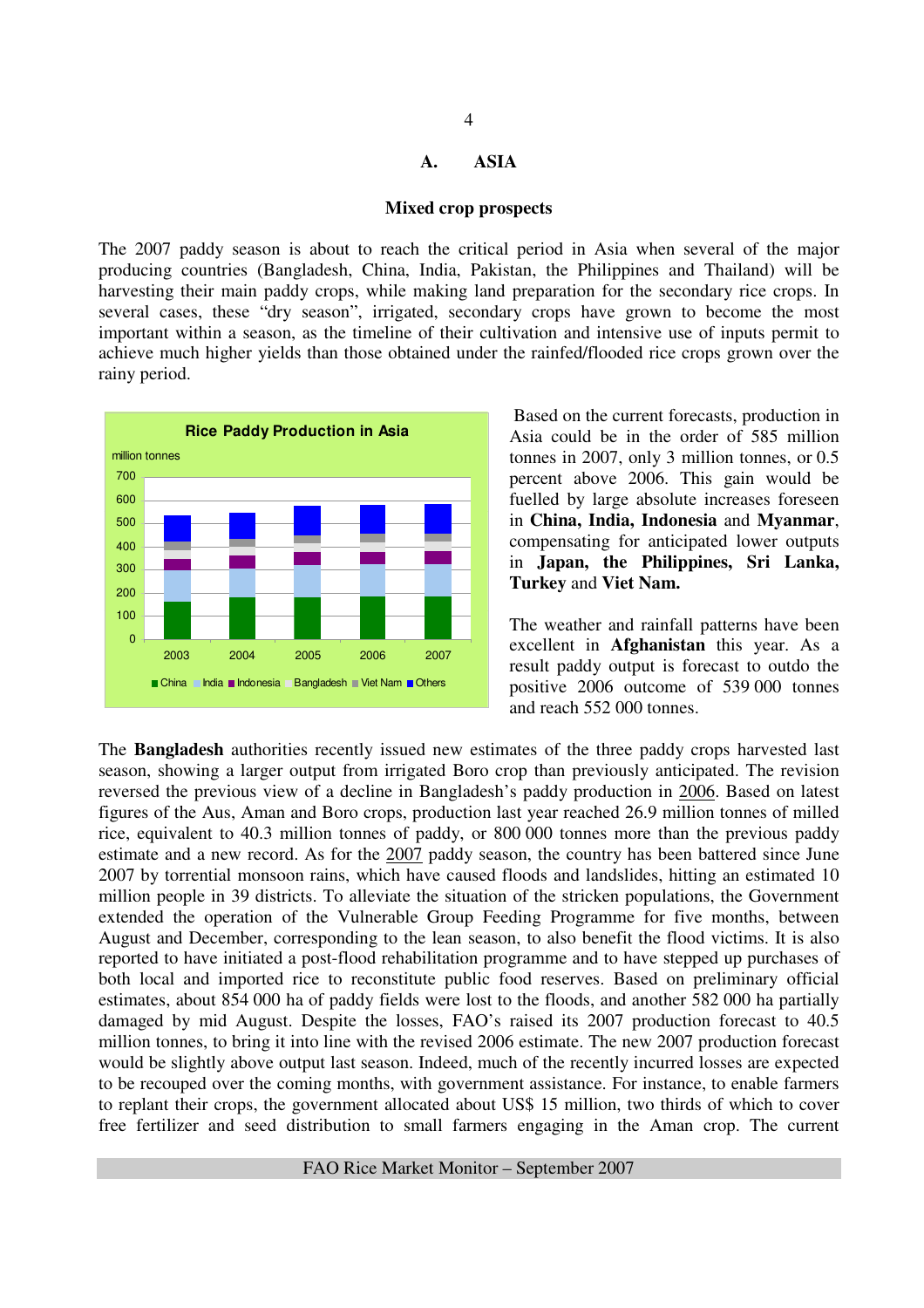### **A. ASIA**

#### **Mixed crop prospects**

The 2007 paddy season is about to reach the critical period in Asia when several of the major producing countries (Bangladesh, China, India, Pakistan, the Philippines and Thailand) will be harvesting their main paddy crops, while making land preparation for the secondary rice crops. In several cases, these "dry season", irrigated, secondary crops have grown to become the most important within a season, as the timeline of their cultivation and intensive use of inputs permit to achieve much higher yields than those obtained under the rainfed/flooded rice crops grown over the rainy period.



 Based on the current forecasts, production in Asia could be in the order of 585 million tonnes in 2007, only 3 million tonnes, or 0.5 percent above 2006. This gain would be fuelled by large absolute increases foreseen in **China, India, Indonesia** and **Myanmar**, compensating for anticipated lower outputs in **Japan, the Philippines, Sri Lanka, Turkey** and **Viet Nam.**

The weather and rainfall patterns have been excellent in **Afghanistan** this year. As a result paddy output is forecast to outdo the positive 2006 outcome of 539 000 tonnes and reach 552 000 tonnes.

The **Bangladesh** authorities recently issued new estimates of the three paddy crops harvested last season, showing a larger output from irrigated Boro crop than previously anticipated. The revision reversed the previous view of a decline in Bangladesh's paddy production in 2006. Based on latest figures of the Aus, Aman and Boro crops, production last year reached 26.9 million tonnes of milled rice, equivalent to 40.3 million tonnes of paddy, or 800 000 tonnes more than the previous paddy estimate and a new record. As for the 2007 paddy season, the country has been battered since June 2007 by torrential monsoon rains, which have caused floods and landslides, hitting an estimated 10 million people in 39 districts. To alleviate the situation of the stricken populations, the Government extended the operation of the Vulnerable Group Feeding Programme for five months, between August and December, corresponding to the lean season, to also benefit the flood victims. It is also reported to have initiated a post-flood rehabilitation programme and to have stepped up purchases of both local and imported rice to reconstitute public food reserves. Based on preliminary official estimates, about 854 000 ha of paddy fields were lost to the floods, and another 582 000 ha partially damaged by mid August. Despite the losses, FAO's raised its 2007 production forecast to 40.5 million tonnes, to bring it into line with the revised 2006 estimate. The new 2007 production forecast would be slightly above output last season. Indeed, much of the recently incurred losses are expected to be recouped over the coming months, with government assistance. For instance, to enable farmers to replant their crops, the government allocated about US\$ 15 million, two thirds of which to cover free fertilizer and seed distribution to small farmers engaging in the Aman crop. The current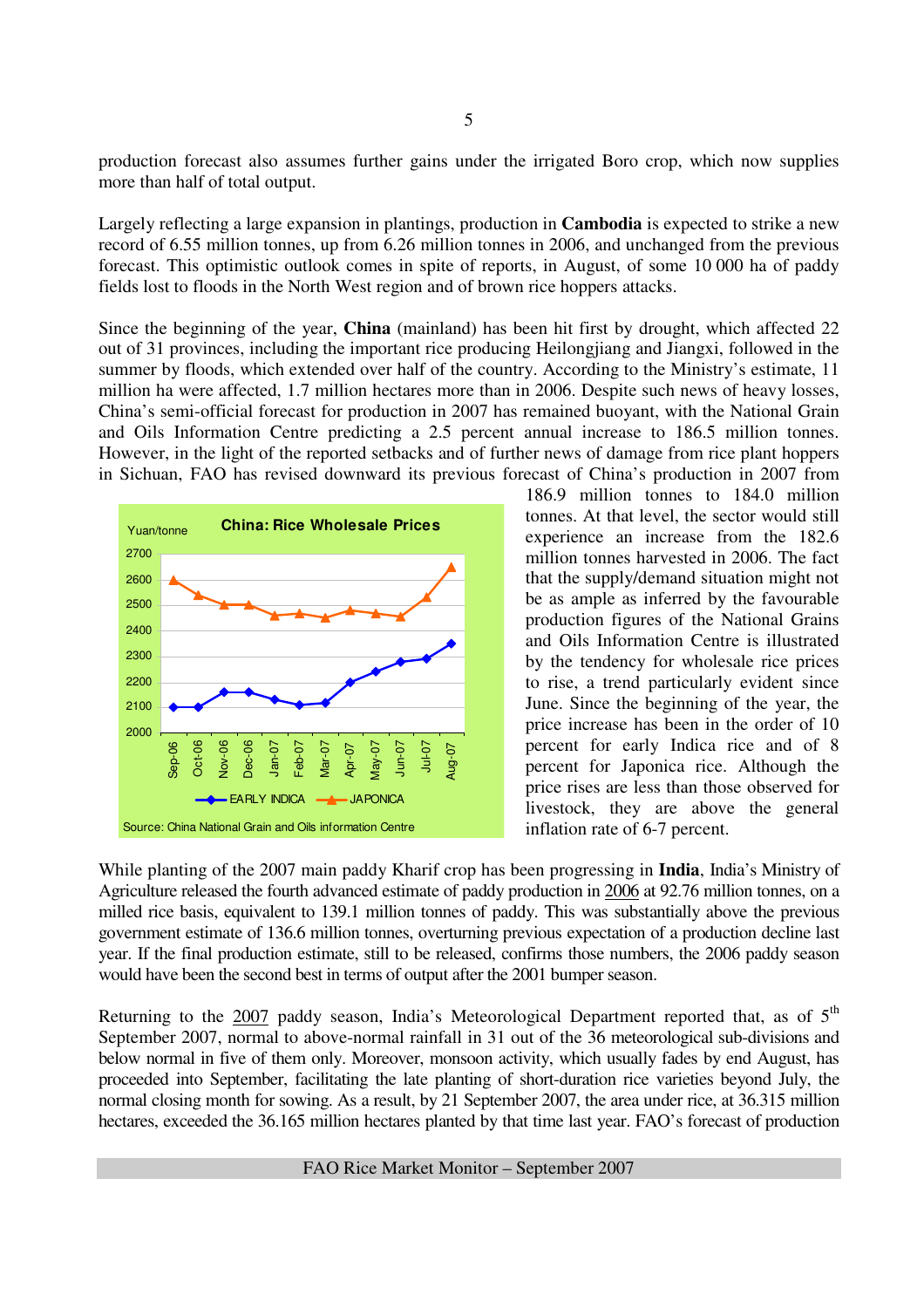production forecast also assumes further gains under the irrigated Boro crop, which now supplies more than half of total output.

Largely reflecting a large expansion in plantings, production in **Cambodia** is expected to strike a new record of 6.55 million tonnes, up from 6.26 million tonnes in 2006, and unchanged from the previous forecast. This optimistic outlook comes in spite of reports, in August, of some 10 000 ha of paddy fields lost to floods in the North West region and of brown rice hoppers attacks.

Since the beginning of the year, **China** (mainland) has been hit first by drought, which affected 22 out of 31 provinces, including the important rice producing Heilongjiang and Jiangxi, followed in the summer by floods, which extended over half of the country. According to the Ministry's estimate, 11 million ha were affected, 1.7 million hectares more than in 2006. Despite such news of heavy losses, China's semi-official forecast for production in 2007 has remained buoyant, with the National Grain and Oils Information Centre predicting a 2.5 percent annual increase to 186.5 million tonnes. However, in the light of the reported setbacks and of further news of damage from rice plant hoppers in Sichuan, FAO has revised downward its previous forecast of China's production in 2007 from



186.9 million tonnes to 184.0 million tonnes. At that level, the sector would still experience an increase from the 182.6 million tonnes harvested in 2006. The fact that the supply/demand situation might not be as ample as inferred by the favourable production figures of the National Grains and Oils Information Centre is illustrated by the tendency for wholesale rice prices to rise, a trend particularly evident since June. Since the beginning of the year, the price increase has been in the order of 10 percent for early Indica rice and of 8 percent for Japonica rice. Although the price rises are less than those observed for livestock, they are above the general inflation rate of 6-7 percent.

While planting of the 2007 main paddy Kharif crop has been progressing in **India**, India's Ministry of Agriculture released the fourth advanced estimate of paddy production in 2006 at 92.76 million tonnes, on a milled rice basis, equivalent to 139.1 million tonnes of paddy. This was substantially above the previous government estimate of 136.6 million tonnes, overturning previous expectation of a production decline last year. If the final production estimate, still to be released, confirms those numbers, the 2006 paddy season would have been the second best in terms of output after the 2001 bumper season.

Returning to the  $2007$  paddy season, India's Meteorological Department reported that, as of  $5<sup>th</sup>$ September 2007, normal to above-normal rainfall in 31 out of the 36 meteorological sub-divisions and below normal in five of them only. Moreover, monsoon activity, which usually fades by end August, has proceeded into September, facilitating the late planting of short-duration rice varieties beyond July, the normal closing month for sowing. As a result, by 21 September 2007, the area under rice, at 36.315 million hectares, exceeded the 36.165 million hectares planted by that time last year. FAO's forecast of production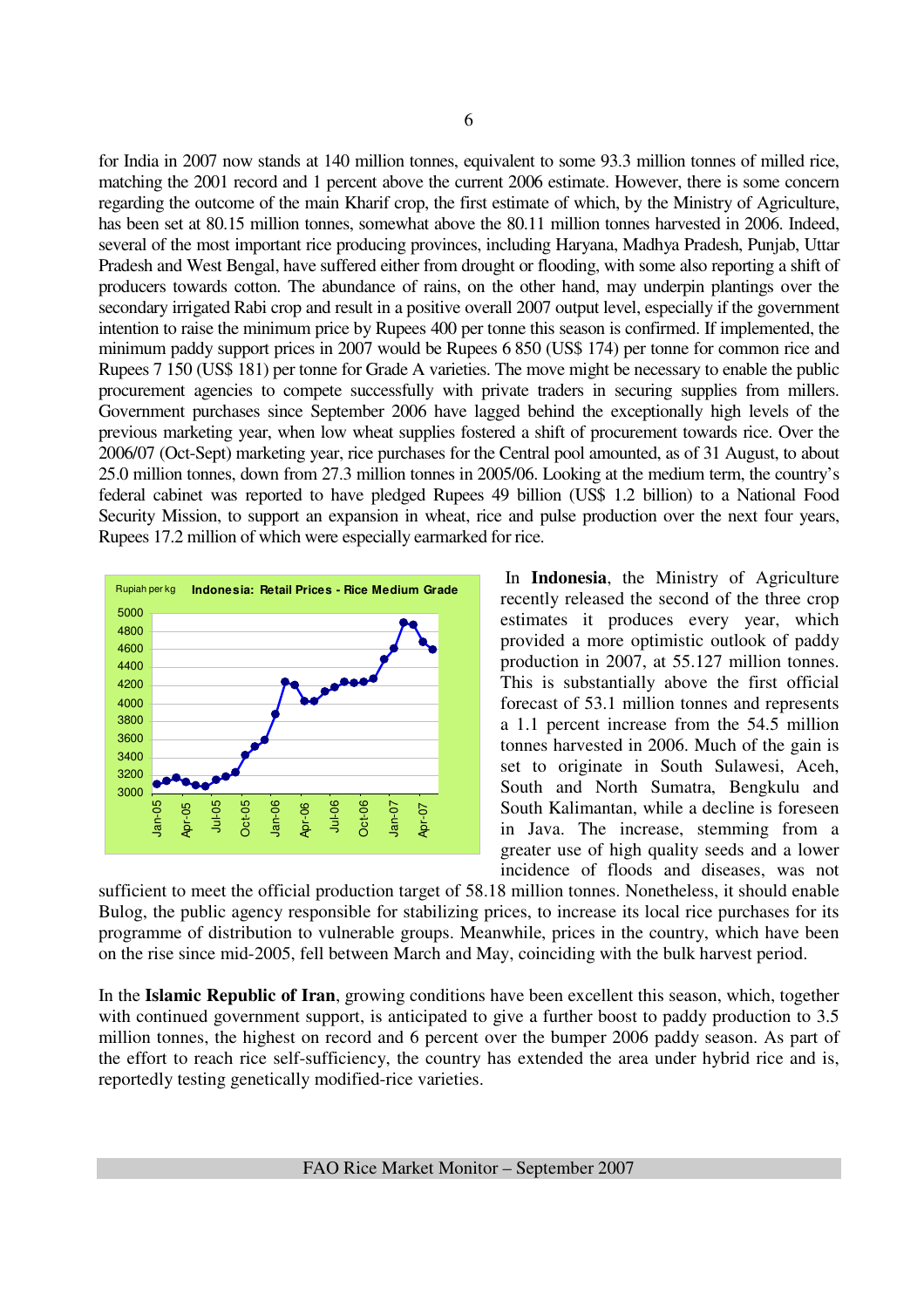for India in 2007 now stands at 140 million tonnes, equivalent to some 93.3 million tonnes of milled rice, matching the 2001 record and 1 percent above the current 2006 estimate. However, there is some concern regarding the outcome of the main Kharif crop, the first estimate of which, by the Ministry of Agriculture, has been set at 80.15 million tonnes, somewhat above the 80.11 million tonnes harvested in 2006. Indeed, several of the most important rice producing provinces, including Haryana, Madhya Pradesh, Punjab, Uttar Pradesh and West Bengal, have suffered either from drought or flooding, with some also reporting a shift of producers towards cotton. The abundance of rains, on the other hand, may underpin plantings over the secondary irrigated Rabi crop and result in a positive overall 2007 output level, especially if the government intention to raise the minimum price by Rupees 400 per tonne this season is confirmed. If implemented, the minimum paddy support prices in 2007 would be Rupees 6 850 (US\$ 174) per tonne for common rice and Rupees 7 150 (US\$ 181) per tonne for Grade A varieties. The move might be necessary to enable the public procurement agencies to compete successfully with private traders in securing supplies from millers. Government purchases since September 2006 have lagged behind the exceptionally high levels of the previous marketing year, when low wheat supplies fostered a shift of procurement towards rice. Over the 2006/07 (Oct-Sept) marketing year, rice purchases for the Central pool amounted, as of 31 August, to about 25.0 million tonnes, down from 27.3 million tonnes in 2005/06. Looking at the medium term, the country's federal cabinet was reported to have pledged Rupees 49 billion (US\$ 1.2 billion) to a National Food Security Mission, to support an expansion in wheat, rice and pulse production over the next four years, Rupees 17.2 million of which were especially earmarked for rice.



 In **Indonesia**, the Ministry of Agriculture recently released the second of the three crop estimates it produces every year, which provided a more optimistic outlook of paddy production in 2007, at 55.127 million tonnes. This is substantially above the first official forecast of 53.1 million tonnes and represents a 1.1 percent increase from the 54.5 million tonnes harvested in 2006. Much of the gain is set to originate in South Sulawesi, Aceh, South and North Sumatra, Bengkulu and South Kalimantan, while a decline is foreseen in Java. The increase, stemming from a greater use of high quality seeds and a lower incidence of floods and diseases, was not

sufficient to meet the official production target of 58.18 million tonnes. Nonetheless, it should enable Bulog, the public agency responsible for stabilizing prices, to increase its local rice purchases for its programme of distribution to vulnerable groups. Meanwhile, prices in the country, which have been on the rise since mid-2005, fell between March and May, coinciding with the bulk harvest period.

In the **Islamic Republic of Iran**, growing conditions have been excellent this season, which, together with continued government support, is anticipated to give a further boost to paddy production to 3.5 million tonnes, the highest on record and 6 percent over the bumper 2006 paddy season. As part of the effort to reach rice self-sufficiency, the country has extended the area under hybrid rice and is, reportedly testing genetically modified-rice varieties.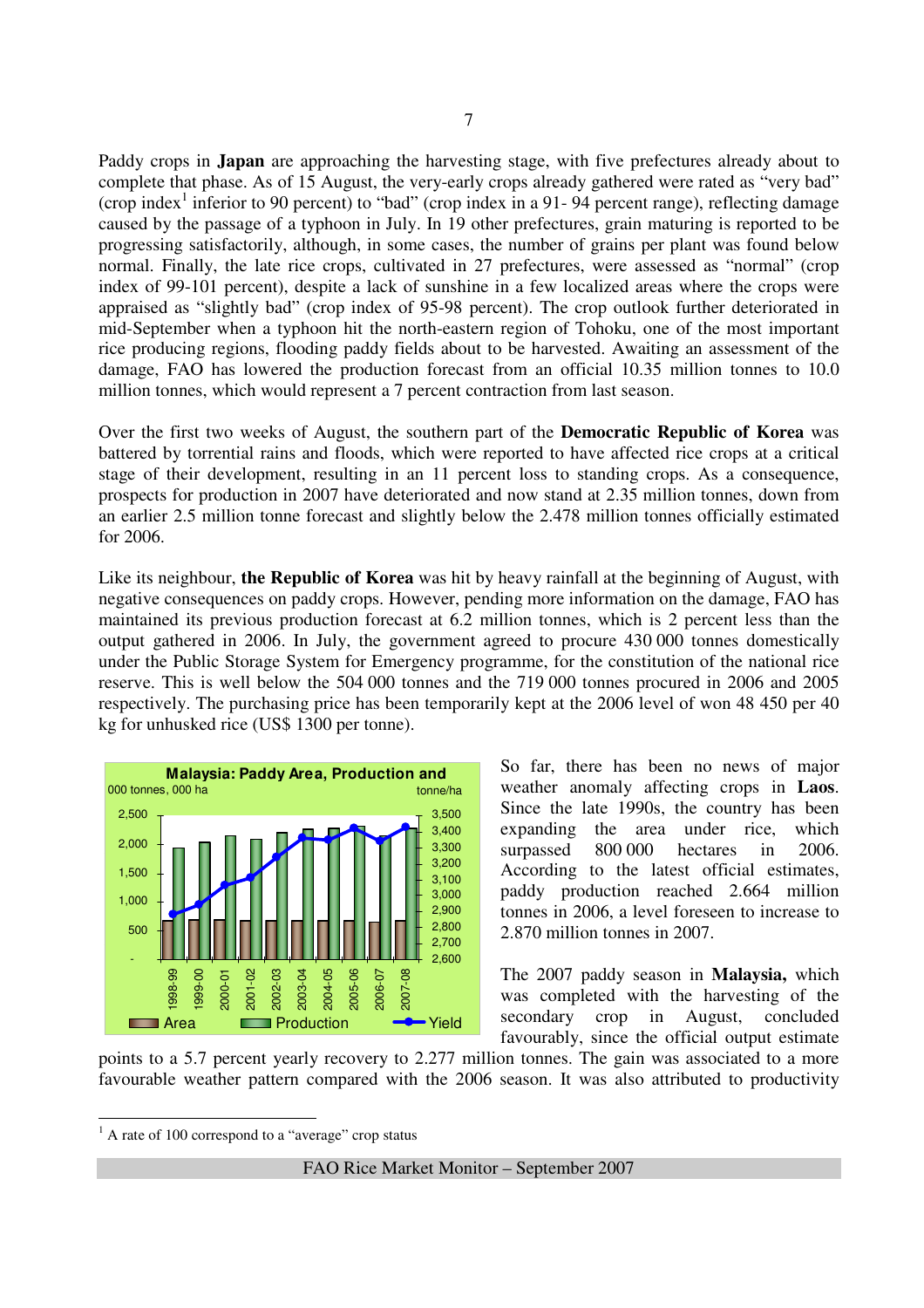Paddy crops in **Japan** are approaching the harvesting stage, with five prefectures already about to complete that phase. As of 15 August, the very-early crops already gathered were rated as "very bad" (crop index<sup>1</sup> inferior to 90 percent) to "bad" (crop index in a 91-94 percent range), reflecting damage caused by the passage of a typhoon in July. In 19 other prefectures, grain maturing is reported to be progressing satisfactorily, although, in some cases, the number of grains per plant was found below normal. Finally, the late rice crops, cultivated in 27 prefectures, were assessed as "normal" (crop index of 99-101 percent), despite a lack of sunshine in a few localized areas where the crops were appraised as "slightly bad" (crop index of 95-98 percent). The crop outlook further deteriorated in mid-September when a typhoon hit the north-eastern region of Tohoku, one of the most important rice producing regions, flooding paddy fields about to be harvested. Awaiting an assessment of the damage, FAO has lowered the production forecast from an official 10.35 million tonnes to 10.0 million tonnes, which would represent a 7 percent contraction from last season.

Over the first two weeks of August, the southern part of the **Democratic Republic of Korea** was battered by torrential rains and floods, which were reported to have affected rice crops at a critical stage of their development, resulting in an 11 percent loss to standing crops. As a consequence, prospects for production in 2007 have deteriorated and now stand at 2.35 million tonnes, down from an earlier 2.5 million tonne forecast and slightly below the 2.478 million tonnes officially estimated for 2006.

Like its neighbour, **the Republic of Korea** was hit by heavy rainfall at the beginning of August, with negative consequences on paddy crops. However, pending more information on the damage, FAO has maintained its previous production forecast at 6.2 million tonnes, which is 2 percent less than the output gathered in 2006. In July, the government agreed to procure 430 000 tonnes domestically under the Public Storage System for Emergency programme, for the constitution of the national rice reserve. This is well below the 504 000 tonnes and the 719 000 tonnes procured in 2006 and 2005 respectively. The purchasing price has been temporarily kept at the 2006 level of won 48 450 per 40 kg for unhusked rice (US\$ 1300 per tonne).



So far, there has been no news of major weather anomaly affecting crops in **Laos**. Since the late 1990s, the country has been expanding the area under rice, which surpassed 800 000 hectares in 2006. According to the latest official estimates, paddy production reached 2.664 million tonnes in 2006, a level foreseen to increase to 2.870 million tonnes in 2007.

The 2007 paddy season in **Malaysia,** which was completed with the harvesting of the secondary crop in August, concluded favourably, since the official output estimate

points to a 5.7 percent yearly recovery to 2.277 million tonnes. The gain was associated to a more favourable weather pattern compared with the 2006 season. It was also attributed to productivity

<sup>1</sup> A rate of 100 correspond to a "average" crop status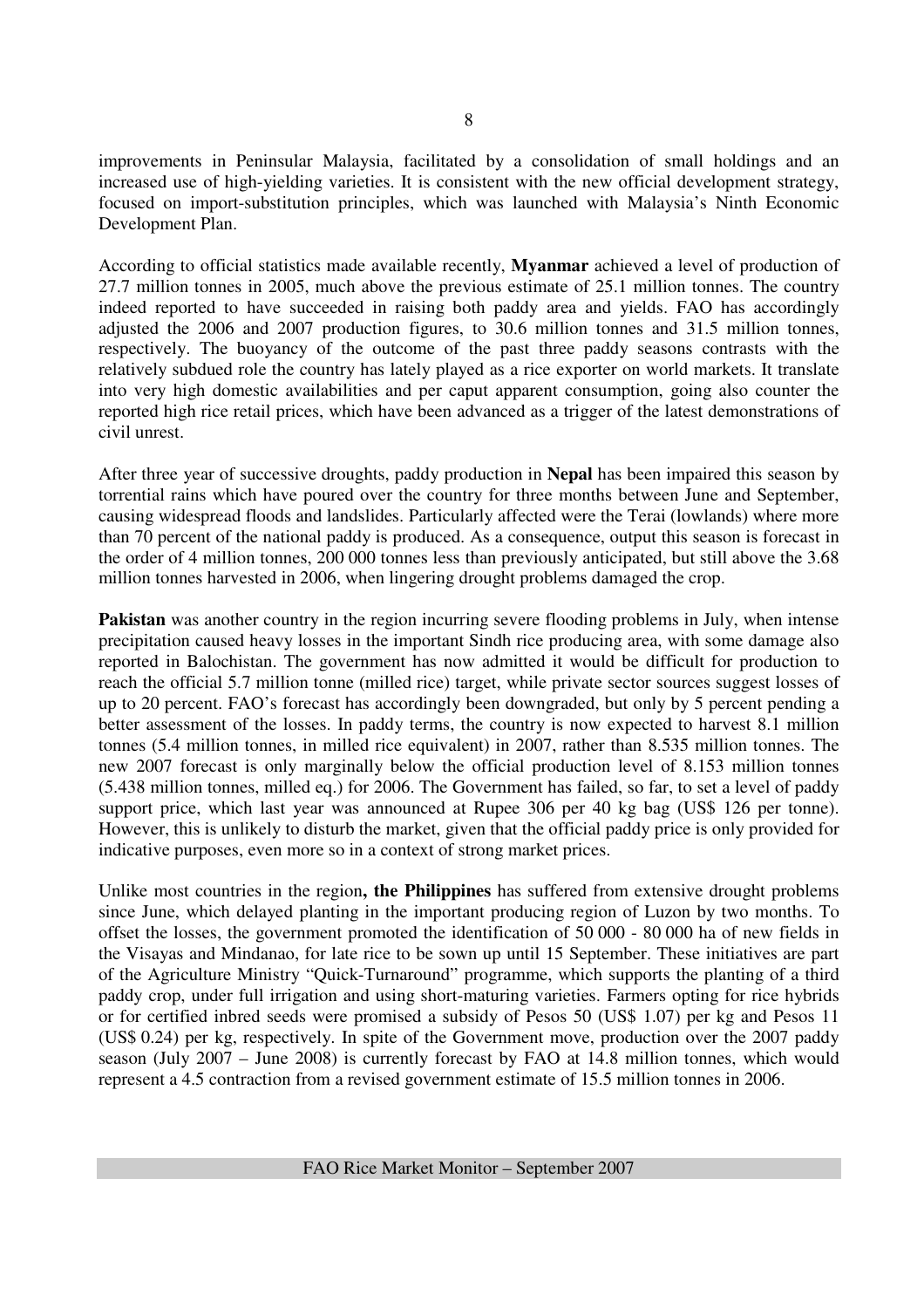improvements in Peninsular Malaysia, facilitated by a consolidation of small holdings and an increased use of high-yielding varieties. It is consistent with the new official development strategy, focused on import-substitution principles, which was launched with Malaysia's Ninth Economic Development Plan.

According to official statistics made available recently, **Myanmar** achieved a level of production of 27.7 million tonnes in 2005, much above the previous estimate of 25.1 million tonnes. The country indeed reported to have succeeded in raising both paddy area and yields. FAO has accordingly adjusted the 2006 and 2007 production figures, to 30.6 million tonnes and 31.5 million tonnes, respectively. The buoyancy of the outcome of the past three paddy seasons contrasts with the relatively subdued role the country has lately played as a rice exporter on world markets. It translate into very high domestic availabilities and per caput apparent consumption, going also counter the reported high rice retail prices, which have been advanced as a trigger of the latest demonstrations of civil unrest.

After three year of successive droughts, paddy production in **Nepal** has been impaired this season by torrential rains which have poured over the country for three months between June and September, causing widespread floods and landslides. Particularly affected were the Terai (lowlands) where more than 70 percent of the national paddy is produced. As a consequence, output this season is forecast in the order of 4 million tonnes, 200 000 tonnes less than previously anticipated, but still above the 3.68 million tonnes harvested in 2006, when lingering drought problems damaged the crop.

**Pakistan** was another country in the region incurring severe flooding problems in July, when intense precipitation caused heavy losses in the important Sindh rice producing area, with some damage also reported in Balochistan. The government has now admitted it would be difficult for production to reach the official 5.7 million tonne (milled rice) target, while private sector sources suggest losses of up to 20 percent. FAO's forecast has accordingly been downgraded, but only by 5 percent pending a better assessment of the losses. In paddy terms, the country is now expected to harvest 8.1 million tonnes (5.4 million tonnes, in milled rice equivalent) in 2007, rather than 8.535 million tonnes. The new 2007 forecast is only marginally below the official production level of 8.153 million tonnes (5.438 million tonnes, milled eq.) for 2006. The Government has failed, so far, to set a level of paddy support price, which last year was announced at Rupee 306 per 40 kg bag (US\$ 126 per tonne). However, this is unlikely to disturb the market, given that the official paddy price is only provided for indicative purposes, even more so in a context of strong market prices.

Unlike most countries in the region**, the Philippines** has suffered from extensive drought problems since June, which delayed planting in the important producing region of Luzon by two months. To offset the losses, the government promoted the identification of 50 000 - 80 000 ha of new fields in the Visayas and Mindanao, for late rice to be sown up until 15 September. These initiatives are part of the Agriculture Ministry "Quick-Turnaround" programme, which supports the planting of a third paddy crop, under full irrigation and using short-maturing varieties. Farmers opting for rice hybrids or for certified inbred seeds were promised a subsidy of Pesos 50 (US\$ 1.07) per kg and Pesos 11 (US\$ 0.24) per kg, respectively. In spite of the Government move, production over the 2007 paddy season (July 2007 – June 2008) is currently forecast by FAO at 14.8 million tonnes, which would represent a 4.5 contraction from a revised government estimate of 15.5 million tonnes in 2006.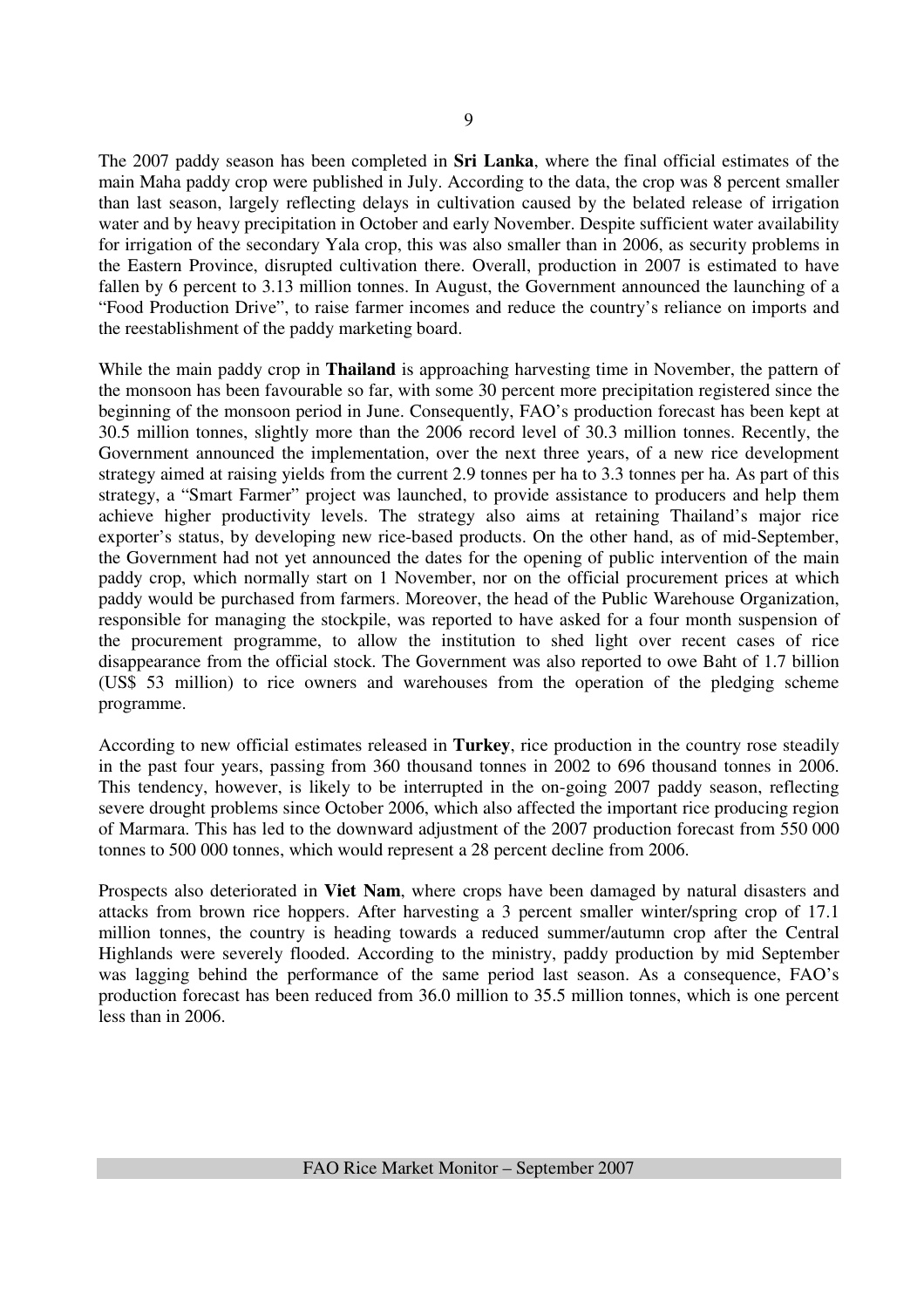The 2007 paddy season has been completed in **Sri Lanka**, where the final official estimates of the main Maha paddy crop were published in July. According to the data, the crop was 8 percent smaller than last season, largely reflecting delays in cultivation caused by the belated release of irrigation water and by heavy precipitation in October and early November. Despite sufficient water availability for irrigation of the secondary Yala crop, this was also smaller than in 2006, as security problems in the Eastern Province, disrupted cultivation there. Overall, production in 2007 is estimated to have fallen by 6 percent to 3.13 million tonnes. In August, the Government announced the launching of a "Food Production Drive", to raise farmer incomes and reduce the country's reliance on imports and the reestablishment of the paddy marketing board.

While the main paddy crop in **Thailand** is approaching harvesting time in November, the pattern of the monsoon has been favourable so far, with some 30 percent more precipitation registered since the beginning of the monsoon period in June. Consequently, FAO's production forecast has been kept at 30.5 million tonnes, slightly more than the 2006 record level of 30.3 million tonnes. Recently, the Government announced the implementation, over the next three years, of a new rice development strategy aimed at raising yields from the current 2.9 tonnes per ha to 3.3 tonnes per ha. As part of this strategy, a "Smart Farmer" project was launched, to provide assistance to producers and help them achieve higher productivity levels. The strategy also aims at retaining Thailand's major rice exporter's status, by developing new rice-based products. On the other hand, as of mid-September, the Government had not yet announced the dates for the opening of public intervention of the main paddy crop, which normally start on 1 November, nor on the official procurement prices at which paddy would be purchased from farmers. Moreover, the head of the Public Warehouse Organization, responsible for managing the stockpile, was reported to have asked for a four month suspension of the procurement programme, to allow the institution to shed light over recent cases of rice disappearance from the official stock. The Government was also reported to owe Baht of 1.7 billion (US\$ 53 million) to rice owners and warehouses from the operation of the pledging scheme programme.

According to new official estimates released in **Turkey**, rice production in the country rose steadily in the past four years, passing from 360 thousand tonnes in 2002 to 696 thousand tonnes in 2006. This tendency, however, is likely to be interrupted in the on-going 2007 paddy season, reflecting severe drought problems since October 2006, which also affected the important rice producing region of Marmara. This has led to the downward adjustment of the 2007 production forecast from 550 000 tonnes to 500 000 tonnes, which would represent a 28 percent decline from 2006.

Prospects also deteriorated in **Viet Nam**, where crops have been damaged by natural disasters and attacks from brown rice hoppers. After harvesting a 3 percent smaller winter/spring crop of 17.1 million tonnes, the country is heading towards a reduced summer/autumn crop after the Central Highlands were severely flooded. According to the ministry, paddy production by mid September was lagging behind the performance of the same period last season. As a consequence, FAO's production forecast has been reduced from 36.0 million to 35.5 million tonnes, which is one percent less than in 2006.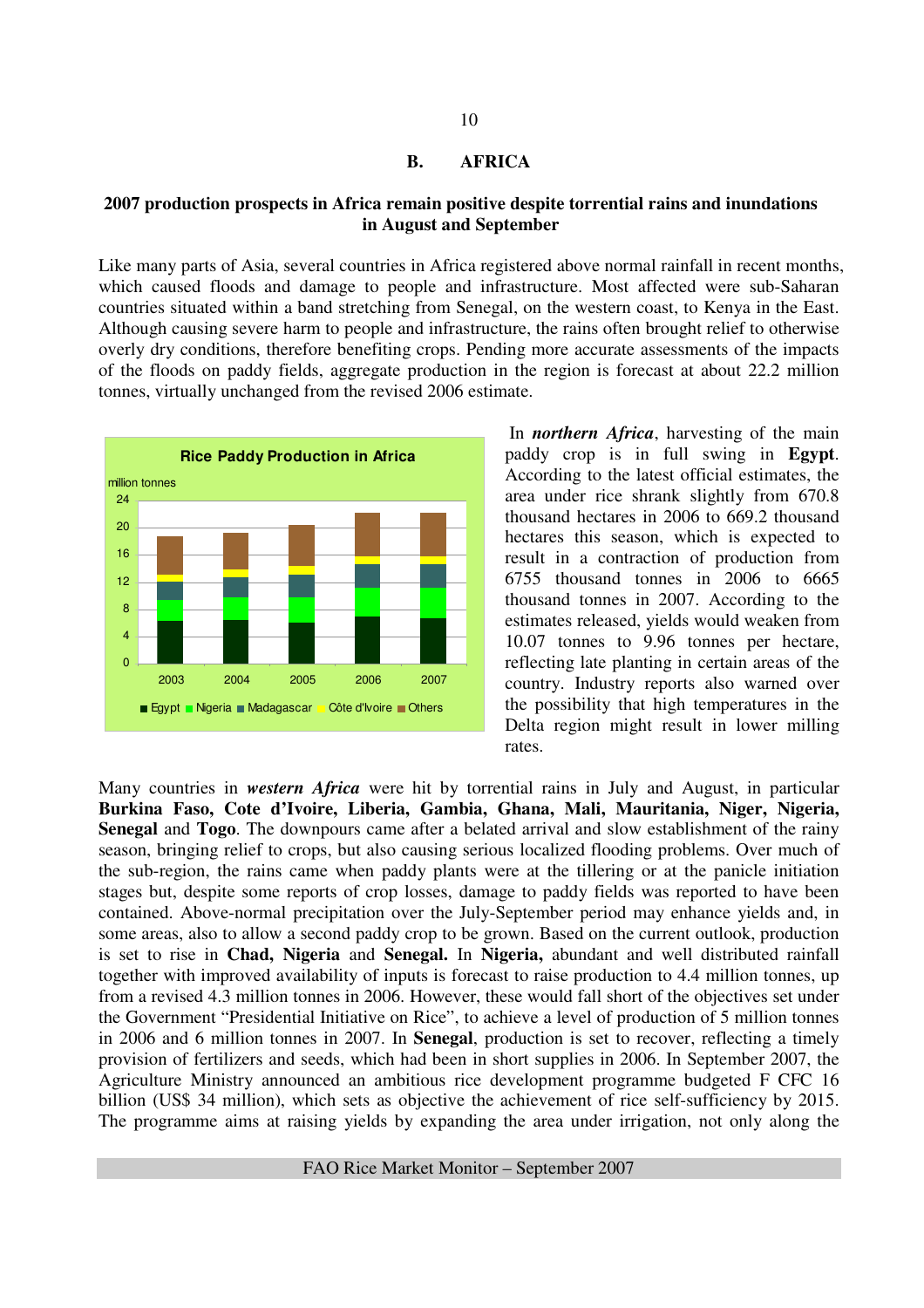#### **B. AFRICA**

#### **2007 production prospects in Africa remain positive despite torrential rains and inundations in August and September**

Like many parts of Asia, several countries in Africa registered above normal rainfall in recent months, which caused floods and damage to people and infrastructure. Most affected were sub-Saharan countries situated within a band stretching from Senegal, on the western coast, to Kenya in the East. Although causing severe harm to people and infrastructure, the rains often brought relief to otherwise overly dry conditions, therefore benefiting crops. Pending more accurate assessments of the impacts of the floods on paddy fields, aggregate production in the region is forecast at about 22.2 million tonnes, virtually unchanged from the revised 2006 estimate.



 In *northern Africa*, harvesting of the main paddy crop is in full swing in **Egypt**. According to the latest official estimates, the area under rice shrank slightly from 670.8 thousand hectares in 2006 to 669.2 thousand hectares this season, which is expected to result in a contraction of production from 6755 thousand tonnes in 2006 to 6665 thousand tonnes in 2007. According to the estimates released, yields would weaken from 10.07 tonnes to 9.96 tonnes per hectare, reflecting late planting in certain areas of the country. Industry reports also warned over the possibility that high temperatures in the Delta region might result in lower milling rates.

Many countries in *western Africa* were hit by torrential rains in July and August, in particular **Burkina Faso, Cote d'Ivoire, Liberia, Gambia, Ghana, Mali, Mauritania, Niger, Nigeria, Senegal** and **Togo**. The downpours came after a belated arrival and slow establishment of the rainy season, bringing relief to crops, but also causing serious localized flooding problems. Over much of the sub-region, the rains came when paddy plants were at the tillering or at the panicle initiation stages but, despite some reports of crop losses, damage to paddy fields was reported to have been contained. Above-normal precipitation over the July-September period may enhance yields and, in some areas, also to allow a second paddy crop to be grown. Based on the current outlook, production is set to rise in **Chad, Nigeria** and **Senegal.** In **Nigeria,** abundant and well distributed rainfall together with improved availability of inputs is forecast to raise production to 4.4 million tonnes, up from a revised 4.3 million tonnes in 2006. However, these would fall short of the objectives set under the Government "Presidential Initiative on Rice", to achieve a level of production of 5 million tonnes in 2006 and 6 million tonnes in 2007. In **Senegal**, production is set to recover, reflecting a timely provision of fertilizers and seeds, which had been in short supplies in 2006. In September 2007, the Agriculture Ministry announced an ambitious rice development programme budgeted F CFC 16 billion (US\$ 34 million), which sets as objective the achievement of rice self-sufficiency by 2015. The programme aims at raising yields by expanding the area under irrigation, not only along the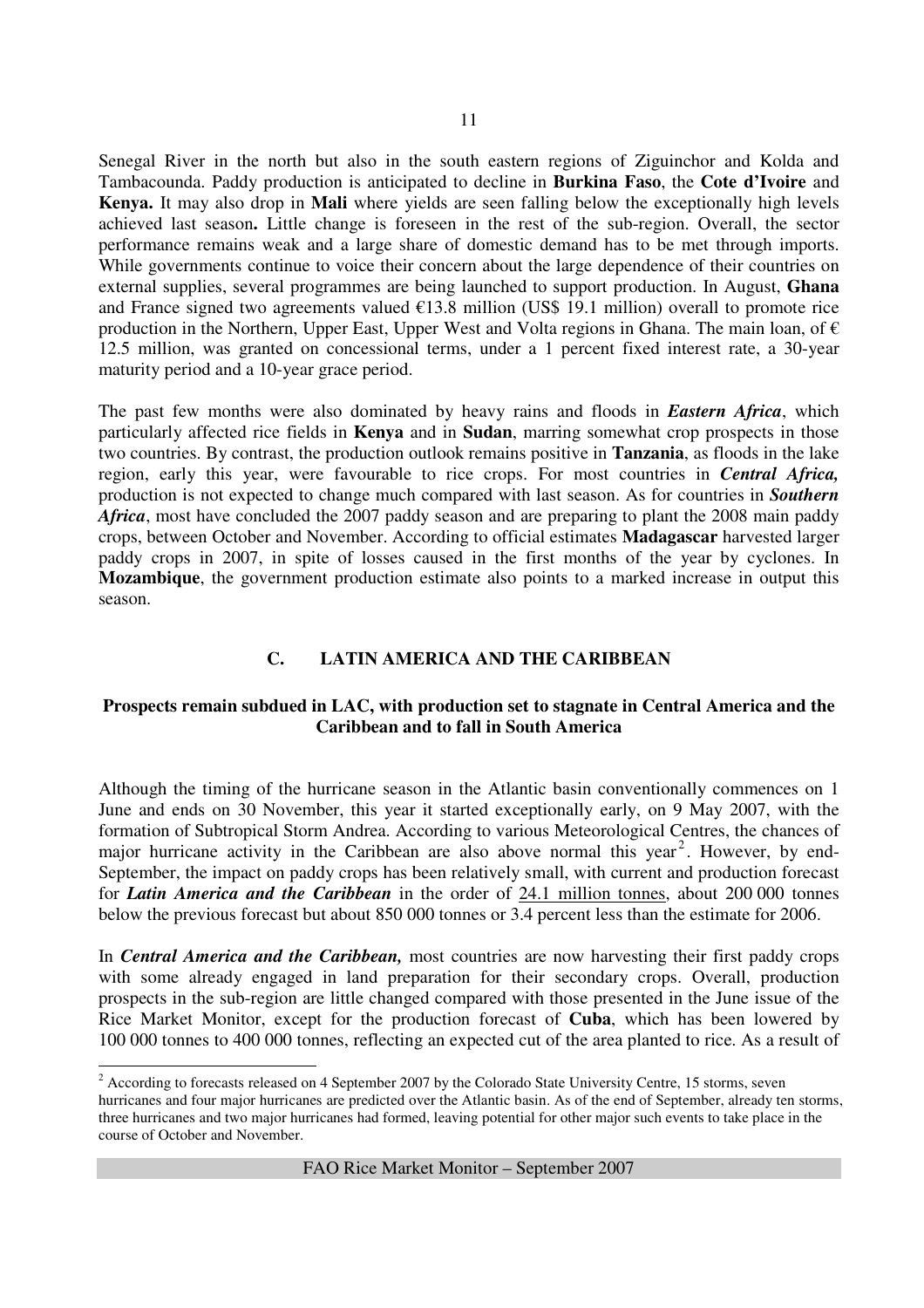Senegal River in the north but also in the south eastern regions of Ziguinchor and Kolda and Tambacounda. Paddy production is anticipated to decline in **Burkina Faso**, the **Cote d'Ivoire** and **Kenya.** It may also drop in **Mali** where yields are seen falling below the exceptionally high levels achieved last season**.** Little change is foreseen in the rest of the sub-region. Overall, the sector performance remains weak and a large share of domestic demand has to be met through imports. While governments continue to voice their concern about the large dependence of their countries on external supplies, several programmes are being launched to support production. In August, **Ghana** and France signed two agreements valued  $\epsilon$ 13.8 million (US\$ 19.1 million) overall to promote rice production in the Northern, Upper East, Upper West and Volta regions in Ghana. The main loan, of  $\epsilon$ 12.5 million, was granted on concessional terms, under a 1 percent fixed interest rate, a 30-year maturity period and a 10-year grace period.

The past few months were also dominated by heavy rains and floods in *Eastern Africa*, which particularly affected rice fields in **Kenya** and in **Sudan**, marring somewhat crop prospects in those two countries. By contrast, the production outlook remains positive in **Tanzania**, as floods in the lake region, early this year, were favourable to rice crops. For most countries in *Central Africa,*  production is not expected to change much compared with last season. As for countries in *Southern Africa*, most have concluded the 2007 paddy season and are preparing to plant the 2008 main paddy crops, between October and November. According to official estimates **Madagascar** harvested larger paddy crops in 2007, in spite of losses caused in the first months of the year by cyclones. In **Mozambique**, the government production estimate also points to a marked increase in output this season.

## **C. LATIN AMERICA AND THE CARIBBEAN**

#### **Prospects remain subdued in LAC, with production set to stagnate in Central America and the Caribbean and to fall in South America**

Although the timing of the hurricane season in the Atlantic basin conventionally commences on 1 June and ends on 30 November, this year it started exceptionally early, on 9 May 2007, with the formation of Subtropical Storm Andrea. According to various Meteorological Centres, the chances of major hurricane activity in the Caribbean are also above normal this year<sup>2</sup>. However, by end-September, the impact on paddy crops has been relatively small, with current and production forecast for *Latin America and the Caribbean* in the order of 24.1 million tonnes, about 200 000 tonnes below the previous forecast but about 850 000 tonnes or 3.4 percent less than the estimate for 2006.

In *Central America and the Caribbean,* most countries are now harvesting their first paddy crops with some already engaged in land preparation for their secondary crops. Overall, production prospects in the sub-region are little changed compared with those presented in the June issue of the Rice Market Monitor, except for the production forecast of **Cuba**, which has been lowered by 100 000 tonnes to 400 000 tonnes, reflecting an expected cut of the area planted to rice. As a result of

 $\overline{a}$ 

 $2^{2}$  According to forecasts released on 4 September 2007 by the Colorado State University Centre, 15 storms, seven hurricanes and four major hurricanes are predicted over the Atlantic basin. As of the end of September, already ten storms, three hurricanes and two major hurricanes had formed, leaving potential for other major such events to take place in the course of October and November.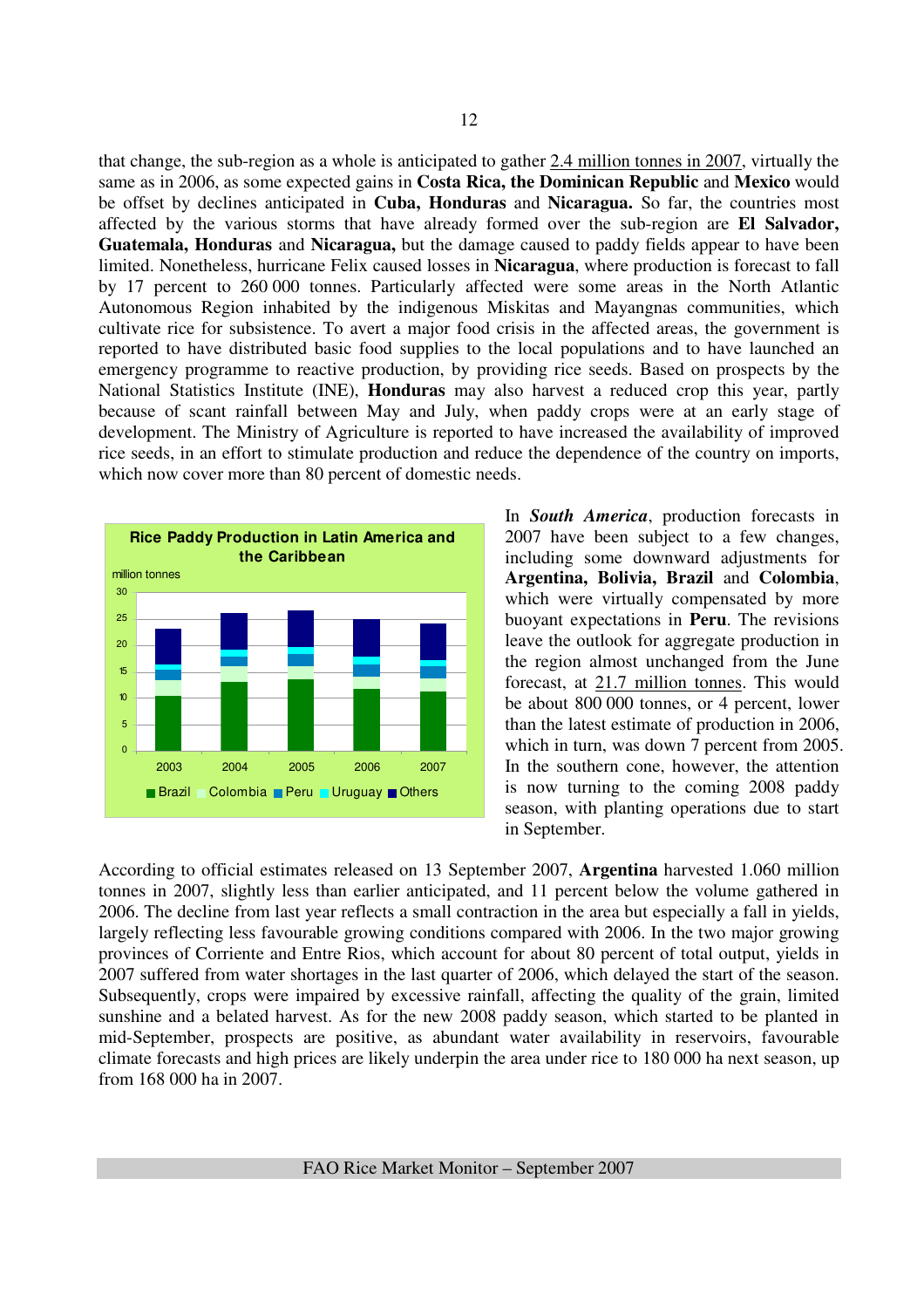that change, the sub-region as a whole is anticipated to gather 2.4 million tonnes in 2007, virtually the same as in 2006, as some expected gains in **Costa Rica, the Dominican Republic** and **Mexico** would be offset by declines anticipated in **Cuba, Honduras** and **Nicaragua.** So far, the countries most affected by the various storms that have already formed over the sub-region are **El Salvador, Guatemala, Honduras** and **Nicaragua,** but the damage caused to paddy fields appear to have been limited. Nonetheless, hurricane Felix caused losses in **Nicaragua**, where production is forecast to fall by 17 percent to 260 000 tonnes. Particularly affected were some areas in the North Atlantic Autonomous Region inhabited by the indigenous Miskitas and Mayangnas communities, which cultivate rice for subsistence. To avert a major food crisis in the affected areas, the government is reported to have distributed basic food supplies to the local populations and to have launched an emergency programme to reactive production, by providing rice seeds. Based on prospects by the National Statistics Institute (INE), **Honduras** may also harvest a reduced crop this year, partly because of scant rainfall between May and July, when paddy crops were at an early stage of development. The Ministry of Agriculture is reported to have increased the availability of improved rice seeds, in an effort to stimulate production and reduce the dependence of the country on imports, which now cover more than 80 percent of domestic needs.



In *South America*, production forecasts in 2007 have been subject to a few changes, including some downward adjustments for **Argentina, Bolivia, Brazil** and **Colombia**, which were virtually compensated by more buoyant expectations in **Peru**. The revisions leave the outlook for aggregate production in the region almost unchanged from the June forecast, at 21.7 million tonnes. This would be about 800 000 tonnes, or 4 percent, lower than the latest estimate of production in 2006, which in turn, was down 7 percent from 2005. In the southern cone, however, the attention is now turning to the coming 2008 paddy season, with planting operations due to start in September.

According to official estimates released on 13 September 2007, **Argentina** harvested 1.060 million tonnes in 2007, slightly less than earlier anticipated, and 11 percent below the volume gathered in 2006. The decline from last year reflects a small contraction in the area but especially a fall in yields, largely reflecting less favourable growing conditions compared with 2006. In the two major growing provinces of Corriente and Entre Rios, which account for about 80 percent of total output, yields in 2007 suffered from water shortages in the last quarter of 2006, which delayed the start of the season. Subsequently, crops were impaired by excessive rainfall, affecting the quality of the grain, limited sunshine and a belated harvest. As for the new 2008 paddy season, which started to be planted in mid-September, prospects are positive, as abundant water availability in reservoirs, favourable climate forecasts and high prices are likely underpin the area under rice to 180 000 ha next season, up from 168 000 ha in 2007.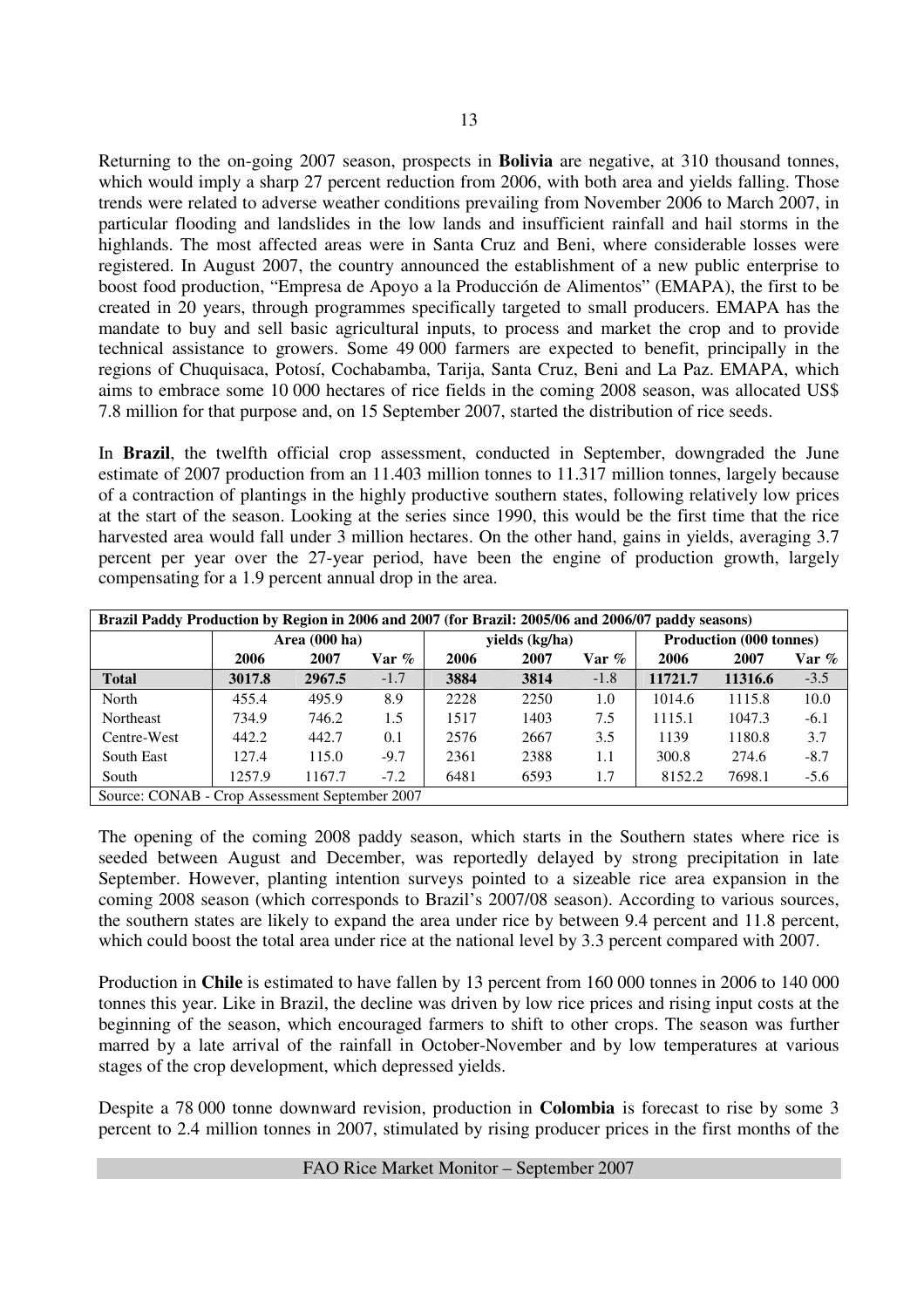Returning to the on-going 2007 season, prospects in **Bolivia** are negative, at 310 thousand tonnes, which would imply a sharp 27 percent reduction from 2006, with both area and yields falling. Those trends were related to adverse weather conditions prevailing from November 2006 to March 2007, in particular flooding and landslides in the low lands and insufficient rainfall and hail storms in the highlands. The most affected areas were in Santa Cruz and Beni, where considerable losses were registered. In August 2007, the country announced the establishment of a new public enterprise to boost food production, "Empresa de Apoyo a la Producción de Alimentos" (EMAPA), the first to be created in 20 years, through programmes specifically targeted to small producers. EMAPA has the mandate to buy and sell basic agricultural inputs, to process and market the crop and to provide technical assistance to growers. Some 49 000 farmers are expected to benefit, principally in the regions of Chuquisaca, Potosí, Cochabamba, Tarija, Santa Cruz, Beni and La Paz. EMAPA, which aims to embrace some 10 000 hectares of rice fields in the coming 2008 season, was allocated US\$ 7.8 million for that purpose and, on 15 September 2007, started the distribution of rice seeds.

In **Brazil**, the twelfth official crop assessment, conducted in September, downgraded the June estimate of 2007 production from an 11.403 million tonnes to 11.317 million tonnes, largely because of a contraction of plantings in the highly productive southern states, following relatively low prices at the start of the season. Looking at the series since 1990, this would be the first time that the rice harvested area would fall under 3 million hectares. On the other hand, gains in yields, averaging 3.7 percent per year over the 27-year period, have been the engine of production growth, largely compensating for a 1.9 percent annual drop in the area.

| Brazil Paddy Production by Region in 2006 and 2007 (for Brazil: 2005/06 and 2006/07 paddy seasons) |        |               |          |      |                |        |                                |         |        |  |
|----------------------------------------------------------------------------------------------------|--------|---------------|----------|------|----------------|--------|--------------------------------|---------|--------|--|
|                                                                                                    |        | Area (000 ha) |          |      | yields (kg/ha) |        | <b>Production (000 tonnes)</b> |         |        |  |
|                                                                                                    | 2006   | 2007          | Var $\%$ | 2006 | 2007           | Var %  | 2006                           | 2007    | Var %  |  |
| <b>Total</b>                                                                                       | 3017.8 | 2967.5        | $-1.7$   | 3884 | 3814           | $-1.8$ | 11721.7                        | 11316.6 | $-3.5$ |  |
| North                                                                                              | 455.4  | 495.9         | 8.9      | 2228 | 2250           | 1.0    | 1014.6                         | 1115.8  | 10.0   |  |
| Northeast                                                                                          | 734.9  | 746.2         | 1.5      | 1517 | 1403           | 7.5    | 1115.1                         | 1047.3  | $-6.1$ |  |
| Centre-West                                                                                        | 442.2  | 442.7         | 0.1      | 2576 | 2667           | 3.5    | 1139                           | 1180.8  | 3.7    |  |
| South East                                                                                         | 127.4  | 115.0         | $-9.7$   | 2361 | 2388           | 1.1    | 300.8                          | 274.6   | $-8.7$ |  |
| South                                                                                              | 1257.9 | 1167.7        | $-7.2$   | 6481 | 6593           | 1.7    | 8152.2                         | 7698.1  | $-5.6$ |  |
| Source: CONAB - Crop Assessment September 2007                                                     |        |               |          |      |                |        |                                |         |        |  |

The opening of the coming 2008 paddy season, which starts in the Southern states where rice is seeded between August and December, was reportedly delayed by strong precipitation in late September. However, planting intention surveys pointed to a sizeable rice area expansion in the coming 2008 season (which corresponds to Brazil's 2007/08 season). According to various sources, the southern states are likely to expand the area under rice by between 9.4 percent and 11.8 percent, which could boost the total area under rice at the national level by 3.3 percent compared with 2007.

Production in **Chile** is estimated to have fallen by 13 percent from 160 000 tonnes in 2006 to 140 000 tonnes this year. Like in Brazil, the decline was driven by low rice prices and rising input costs at the beginning of the season, which encouraged farmers to shift to other crops. The season was further marred by a late arrival of the rainfall in October-November and by low temperatures at various stages of the crop development, which depressed yields.

Despite a 78 000 tonne downward revision, production in **Colombia** is forecast to rise by some 3 percent to 2.4 million tonnes in 2007, stimulated by rising producer prices in the first months of the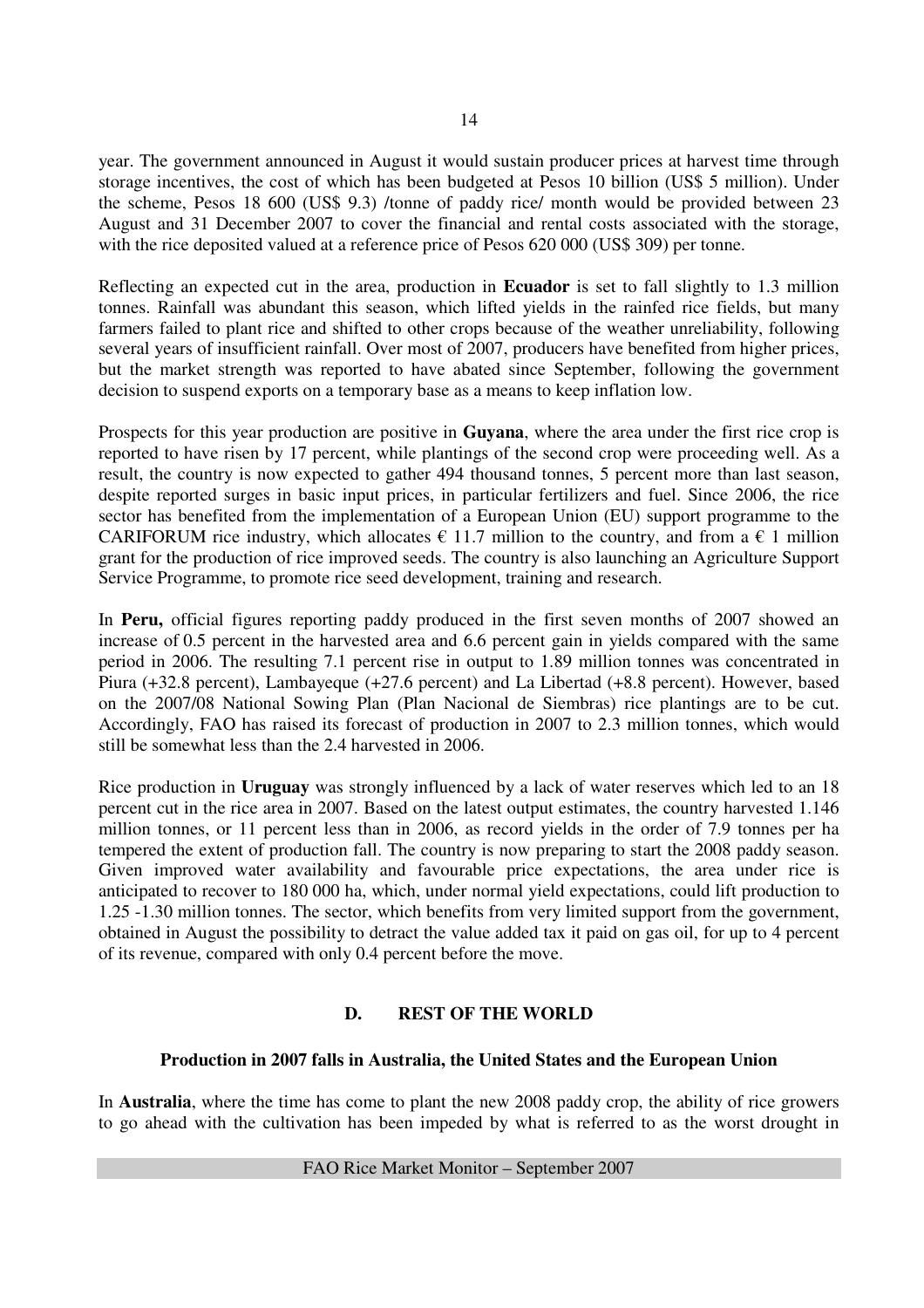year. The government announced in August it would sustain producer prices at harvest time through storage incentives, the cost of which has been budgeted at Pesos 10 billion (US\$ 5 million). Under the scheme, Pesos 18 600 (US\$ 9.3) /tonne of paddy rice/ month would be provided between 23 August and 31 December 2007 to cover the financial and rental costs associated with the storage, with the rice deposited valued at a reference price of Pesos 620 000 (US\$ 309) per tonne.

Reflecting an expected cut in the area, production in **Ecuador** is set to fall slightly to 1.3 million tonnes. Rainfall was abundant this season, which lifted yields in the rainfed rice fields, but many farmers failed to plant rice and shifted to other crops because of the weather unreliability, following several years of insufficient rainfall. Over most of 2007, producers have benefited from higher prices, but the market strength was reported to have abated since September, following the government decision to suspend exports on a temporary base as a means to keep inflation low.

Prospects for this year production are positive in **Guyana**, where the area under the first rice crop is reported to have risen by 17 percent, while plantings of the second crop were proceeding well. As a result, the country is now expected to gather 494 thousand tonnes, 5 percent more than last season, despite reported surges in basic input prices, in particular fertilizers and fuel. Since 2006, the rice sector has benefited from the implementation of a European Union (EU) support programme to the CARIFORUM rice industry, which allocates  $\epsilon$  11.7 million to the country, and from a  $\epsilon$  1 million grant for the production of rice improved seeds. The country is also launching an Agriculture Support Service Programme, to promote rice seed development, training and research.

In **Peru,** official figures reporting paddy produced in the first seven months of 2007 showed an increase of 0.5 percent in the harvested area and 6.6 percent gain in yields compared with the same period in 2006. The resulting 7.1 percent rise in output to 1.89 million tonnes was concentrated in Piura (+32.8 percent), Lambayeque (+27.6 percent) and La Libertad (+8.8 percent). However, based on the 2007/08 National Sowing Plan (Plan Nacional de Siembras) rice plantings are to be cut. Accordingly, FAO has raised its forecast of production in 2007 to 2.3 million tonnes, which would still be somewhat less than the 2.4 harvested in 2006.

Rice production in **Uruguay** was strongly influenced by a lack of water reserves which led to an 18 percent cut in the rice area in 2007. Based on the latest output estimates, the country harvested 1.146 million tonnes, or 11 percent less than in 2006, as record yields in the order of 7.9 tonnes per ha tempered the extent of production fall. The country is now preparing to start the 2008 paddy season. Given improved water availability and favourable price expectations, the area under rice is anticipated to recover to 180 000 ha, which, under normal yield expectations, could lift production to 1.25 -1.30 million tonnes. The sector, which benefits from very limited support from the government, obtained in August the possibility to detract the value added tax it paid on gas oil, for up to 4 percent of its revenue, compared with only 0.4 percent before the move.

## **D. REST OF THE WORLD**

#### **Production in 2007 falls in Australia, the United States and the European Union**

In **Australia**, where the time has come to plant the new 2008 paddy crop, the ability of rice growers to go ahead with the cultivation has been impeded by what is referred to as the worst drought in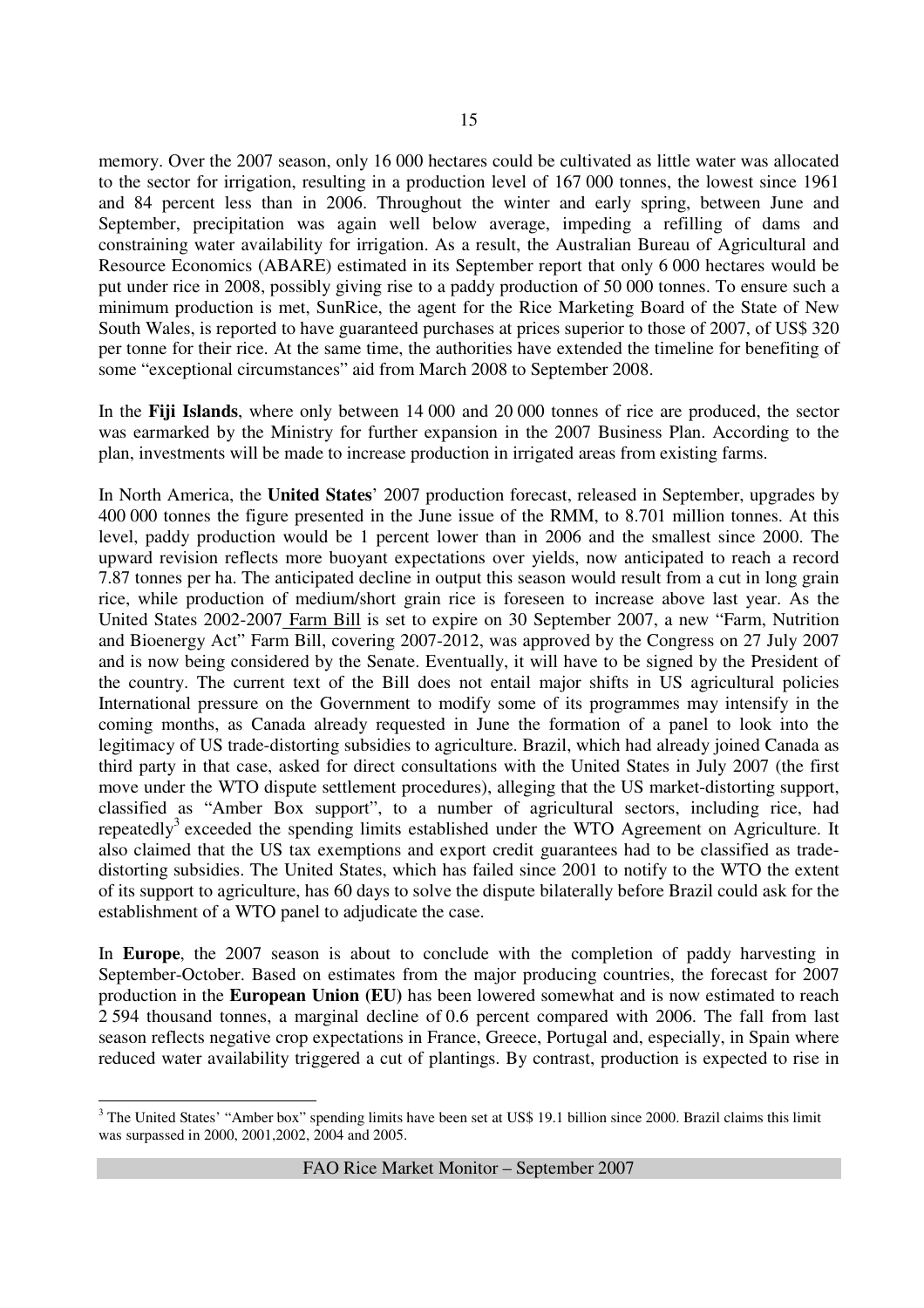15

memory. Over the 2007 season, only 16 000 hectares could be cultivated as little water was allocated to the sector for irrigation, resulting in a production level of 167 000 tonnes, the lowest since 1961 and 84 percent less than in 2006. Throughout the winter and early spring, between June and September, precipitation was again well below average, impeding a refilling of dams and constraining water availability for irrigation. As a result, the Australian Bureau of Agricultural and Resource Economics (ABARE) estimated in its September report that only 6 000 hectares would be put under rice in 2008, possibly giving rise to a paddy production of 50 000 tonnes. To ensure such a minimum production is met, SunRice, the agent for the Rice Marketing Board of the State of New South Wales, is reported to have guaranteed purchases at prices superior to those of 2007, of US\$ 320 per tonne for their rice. At the same time, the authorities have extended the timeline for benefiting of some "exceptional circumstances" aid from March 2008 to September 2008.

In the **Fiji Islands**, where only between 14 000 and 20 000 tonnes of rice are produced, the sector was earmarked by the Ministry for further expansion in the 2007 Business Plan. According to the plan, investments will be made to increase production in irrigated areas from existing farms.

In North America, the **United States**' 2007 production forecast, released in September, upgrades by 400 000 tonnes the figure presented in the June issue of the RMM, to 8.701 million tonnes. At this level, paddy production would be 1 percent lower than in 2006 and the smallest since 2000. The upward revision reflects more buoyant expectations over yields, now anticipated to reach a record 7.87 tonnes per ha. The anticipated decline in output this season would result from a cut in long grain rice, while production of medium/short grain rice is foreseen to increase above last year. As the United States 2002-2007 Farm Bill is set to expire on 30 September 2007, a new "Farm, Nutrition and Bioenergy Act" Farm Bill, covering 2007-2012, was approved by the Congress on 27 July 2007 and is now being considered by the Senate. Eventually, it will have to be signed by the President of the country. The current text of the Bill does not entail major shifts in US agricultural policies International pressure on the Government to modify some of its programmes may intensify in the coming months, as Canada already requested in June the formation of a panel to look into the legitimacy of US trade-distorting subsidies to agriculture. Brazil, which had already joined Canada as third party in that case, asked for direct consultations with the United States in July 2007 (the first move under the WTO dispute settlement procedures), alleging that the US market-distorting support, classified as "Amber Box support", to a number of agricultural sectors, including rice, had repeatedly<sup>3</sup> exceeded the spending limits established under the WTO Agreement on Agriculture. It also claimed that the US tax exemptions and export credit guarantees had to be classified as tradedistorting subsidies. The United States, which has failed since 2001 to notify to the WTO the extent of its support to agriculture, has 60 days to solve the dispute bilaterally before Brazil could ask for the establishment of a WTO panel to adjudicate the case.

In **Europe**, the 2007 season is about to conclude with the completion of paddy harvesting in September-October. Based on estimates from the major producing countries, the forecast for 2007 production in the **European Union (EU)** has been lowered somewhat and is now estimated to reach 2 594 thousand tonnes, a marginal decline of 0.6 percent compared with 2006. The fall from last season reflects negative crop expectations in France, Greece, Portugal and, especially, in Spain where reduced water availability triggered a cut of plantings. By contrast, production is expected to rise in

 $\overline{a}$  $3$  The United States' "Amber box" spending limits have been set at US\$ 19.1 billion since 2000. Brazil claims this limit was surpassed in 2000, 2001,2002, 2004 and 2005.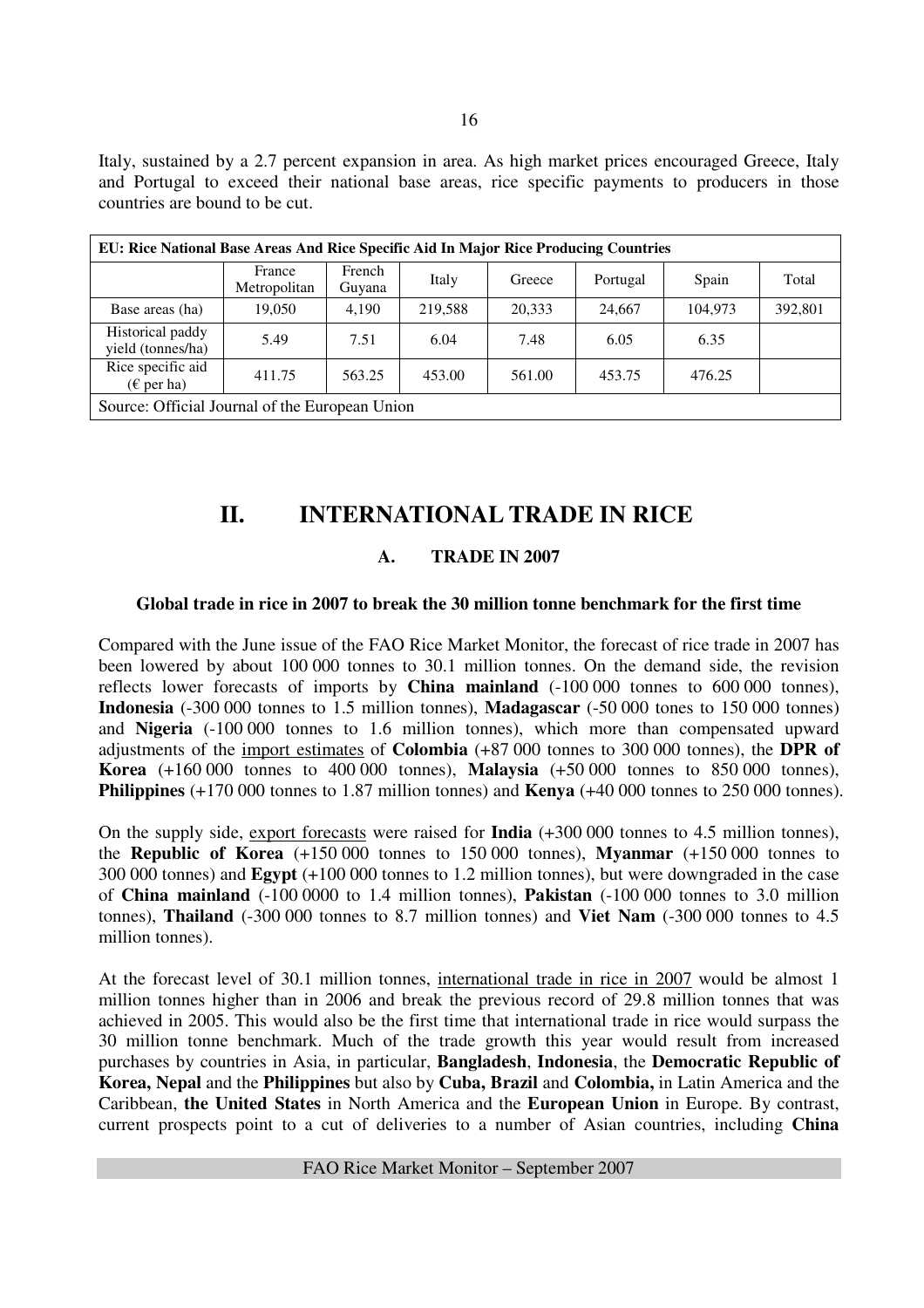Italy, sustained by a 2.7 percent expansion in area. As high market prices encouraged Greece, Italy and Portugal to exceed their national base areas, rice specific payments to producers in those countries are bound to be cut.

| EU: Rice National Base Areas And Rice Specific Aid In Major Rice Producing Countries |                        |                  |         |        |          |         |         |
|--------------------------------------------------------------------------------------|------------------------|------------------|---------|--------|----------|---------|---------|
|                                                                                      | France<br>Metropolitan | French<br>Guyana | Italy   | Greece | Portugal | Spain   | Total   |
| Base areas (ha)                                                                      | 19.050                 | 4,190            | 219,588 | 20,333 | 24,667   | 104.973 | 392,801 |
| Historical paddy<br>yield (tonnes/ha)                                                | 5.49                   | 7.51             | 6.04    | 7.48   | 6.05     | 6.35    |         |
| Rice specific aid<br>$(\epsilon$ per ha)                                             | 411.75                 | 563.25           | 453.00  | 561.00 | 453.75   | 476.25  |         |
| Source: Official Journal of the European Union                                       |                        |                  |         |        |          |         |         |

# **II. INTERNATIONAL TRADE IN RICE**

### **A. TRADE IN 2007**

### **Global trade in rice in 2007 to break the 30 million tonne benchmark for the first time**

Compared with the June issue of the FAO Rice Market Monitor, the forecast of rice trade in 2007 has been lowered by about 100 000 tonnes to 30.1 million tonnes. On the demand side, the revision reflects lower forecasts of imports by **China mainland** (-100 000 tonnes to 600 000 tonnes), **Indonesia** (-300 000 tonnes to 1.5 million tonnes), **Madagascar** (-50 000 tones to 150 000 tonnes) and **Nigeria** (-100 000 tonnes to 1.6 million tonnes), which more than compensated upward adjustments of the import estimates of **Colombia** (+87 000 tonnes to 300 000 tonnes), the **DPR of Korea** (+160 000 tonnes to 400 000 tonnes), **Malaysia** (+50 000 tonnes to 850 000 tonnes), **Philippines** (+170 000 tonnes to 1.87 million tonnes) and **Kenya** (+40 000 tonnes to 250 000 tonnes).

On the supply side, export forecasts were raised for **India** (+300 000 tonnes to 4.5 million tonnes), the **Republic of Korea** (+150 000 tonnes to 150 000 tonnes), **Myanmar** (+150 000 tonnes to 300 000 tonnes) and **Egypt** (+100 000 tonnes to 1.2 million tonnes), but were downgraded in the case of **China mainland** (-100 0000 to 1.4 million tonnes), **Pakistan** (-100 000 tonnes to 3.0 million tonnes), **Thailand** (-300 000 tonnes to 8.7 million tonnes) and **Viet Nam** (-300 000 tonnes to 4.5 million tonnes).

At the forecast level of 30.1 million tonnes, international trade in rice in 2007 would be almost 1 million tonnes higher than in 2006 and break the previous record of 29.8 million tonnes that was achieved in 2005. This would also be the first time that international trade in rice would surpass the 30 million tonne benchmark. Much of the trade growth this year would result from increased purchases by countries in Asia, in particular, **Bangladesh**, **Indonesia**, the **Democratic Republic of Korea, Nepal** and the **Philippines** but also by **Cuba, Brazil** and **Colombia,** in Latin America and the Caribbean, **the United States** in North America and the **European Union** in Europe. By contrast, current prospects point to a cut of deliveries to a number of Asian countries, including **China**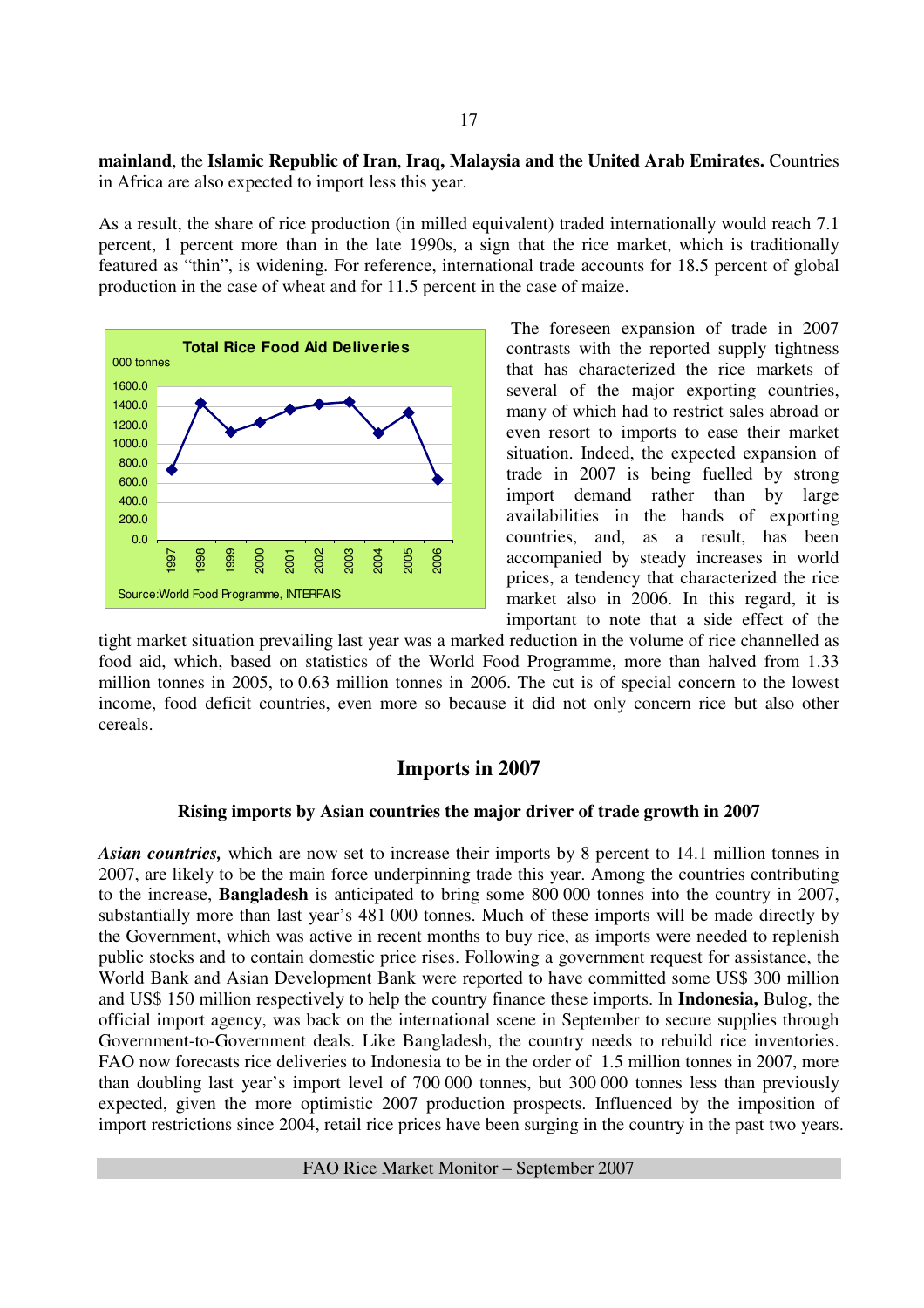#### **mainland**, the **Islamic Republic of Iran**, **Iraq, Malaysia and the United Arab Emirates.** Countries in Africa are also expected to import less this year.

As a result, the share of rice production (in milled equivalent) traded internationally would reach 7.1 percent, 1 percent more than in the late 1990s, a sign that the rice market, which is traditionally featured as "thin", is widening. For reference, international trade accounts for 18.5 percent of global production in the case of wheat and for 11.5 percent in the case of maize.



 The foreseen expansion of trade in 2007 contrasts with the reported supply tightness that has characterized the rice markets of several of the major exporting countries, many of which had to restrict sales abroad or even resort to imports to ease their market situation. Indeed, the expected expansion of trade in 2007 is being fuelled by strong import demand rather than by large availabilities in the hands of exporting countries, and, as a result, has been accompanied by steady increases in world prices, a tendency that characterized the rice market also in 2006. In this regard, it is important to note that a side effect of the

tight market situation prevailing last year was a marked reduction in the volume of rice channelled as food aid, which, based on statistics of the World Food Programme, more than halved from 1.33 million tonnes in 2005, to 0.63 million tonnes in 2006. The cut is of special concern to the lowest income, food deficit countries, even more so because it did not only concern rice but also other cereals.

#### **Imports in 2007**

#### **Rising imports by Asian countries the major driver of trade growth in 2007**

*Asian countries,* which are now set to increase their imports by 8 percent to 14.1 million tonnes in 2007, are likely to be the main force underpinning trade this year. Among the countries contributing to the increase, **Bangladesh** is anticipated to bring some 800 000 tonnes into the country in 2007, substantially more than last year's 481 000 tonnes. Much of these imports will be made directly by the Government, which was active in recent months to buy rice, as imports were needed to replenish public stocks and to contain domestic price rises. Following a government request for assistance, the World Bank and Asian Development Bank were reported to have committed some US\$ 300 million and US\$ 150 million respectively to help the country finance these imports. In **Indonesia,** Bulog, the official import agency, was back on the international scene in September to secure supplies through Government-to-Government deals. Like Bangladesh, the country needs to rebuild rice inventories. FAO now forecasts rice deliveries to Indonesia to be in the order of 1.5 million tonnes in 2007, more than doubling last year's import level of 700 000 tonnes, but 300 000 tonnes less than previously expected, given the more optimistic 2007 production prospects. Influenced by the imposition of import restrictions since 2004, retail rice prices have been surging in the country in the past two years.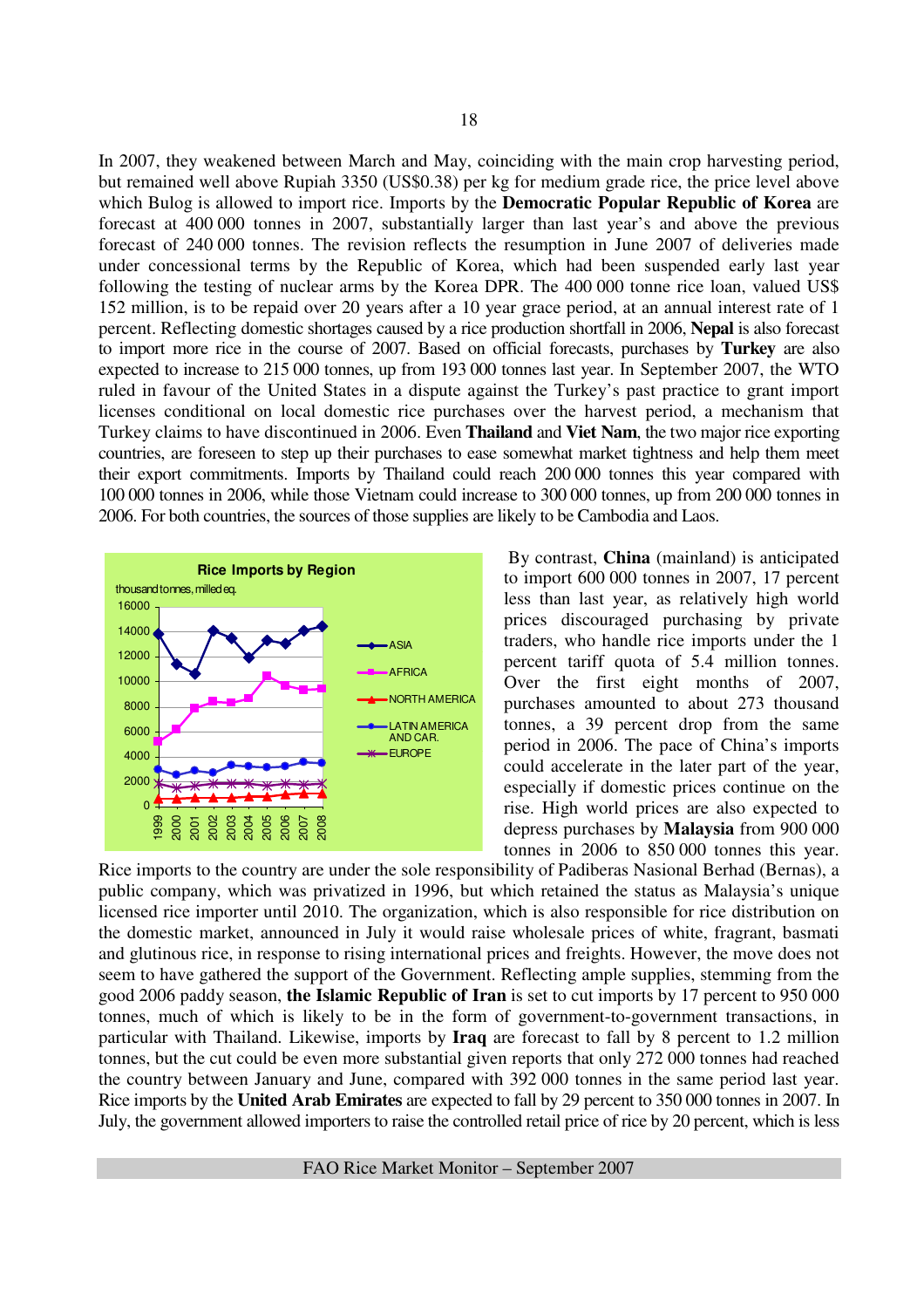In 2007, they weakened between March and May, coinciding with the main crop harvesting period, but remained well above Rupiah 3350 (US\$0.38) per kg for medium grade rice, the price level above which Bulog is allowed to import rice. Imports by the **Democratic Popular Republic of Korea** are forecast at 400 000 tonnes in 2007, substantially larger than last year's and above the previous forecast of 240 000 tonnes. The revision reflects the resumption in June 2007 of deliveries made under concessional terms by the Republic of Korea, which had been suspended early last year following the testing of nuclear arms by the Korea DPR. The 400 000 tonne rice loan, valued US\$ 152 million, is to be repaid over 20 years after a 10 year grace period, at an annual interest rate of 1 percent. Reflecting domestic shortages caused by a rice production shortfall in 2006, **Nepal** is also forecast to import more rice in the course of 2007. Based on official forecasts, purchases by **Turkey** are also expected to increase to 215 000 tonnes, up from 193 000 tonnes last year. In September 2007, the WTO ruled in favour of the United States in a dispute against the Turkey's past practice to grant import licenses conditional on local domestic rice purchases over the harvest period, a mechanism that Turkey claims to have discontinued in 2006. Even **Thailand** and **Viet Nam**, the two major rice exporting countries, are foreseen to step up their purchases to ease somewhat market tightness and help them meet their export commitments. Imports by Thailand could reach 200 000 tonnes this year compared with 100 000 tonnes in 2006, while those Vietnam could increase to 300 000 tonnes, up from 200 000 tonnes in 2006. For both countries, the sources of those supplies are likely to be Cambodia and Laos.



 By contrast, **China** (mainland) is anticipated to import 600 000 tonnes in 2007, 17 percent less than last year, as relatively high world prices discouraged purchasing by private traders, who handle rice imports under the 1 percent tariff quota of 5.4 million tonnes. Over the first eight months of 2007, purchases amounted to about 273 thousand tonnes, a 39 percent drop from the same period in 2006. The pace of China's imports could accelerate in the later part of the year, especially if domestic prices continue on the rise. High world prices are also expected to depress purchases by **Malaysia** from 900 000 tonnes in 2006 to 850 000 tonnes this year.

Rice imports to the country are under the sole responsibility of Padiberas Nasional Berhad (Bernas), a public company, which was privatized in 1996, but which retained the status as Malaysia's unique licensed rice importer until 2010. The organization, which is also responsible for rice distribution on the domestic market, announced in July it would raise wholesale prices of white, fragrant, basmati and glutinous rice, in response to rising international prices and freights. However, the move does not seem to have gathered the support of the Government. Reflecting ample supplies, stemming from the good 2006 paddy season, **the Islamic Republic of Iran** is set to cut imports by 17 percent to 950 000 tonnes, much of which is likely to be in the form of government-to-government transactions, in particular with Thailand. Likewise, imports by **Iraq** are forecast to fall by 8 percent to 1.2 million tonnes, but the cut could be even more substantial given reports that only 272 000 tonnes had reached the country between January and June, compared with 392 000 tonnes in the same period last year. Rice imports by the **United Arab Emirates** are expected to fall by 29 percent to 350 000 tonnes in 2007. In July, the government allowed importers to raise the controlled retail price of rice by 20 percent, which is less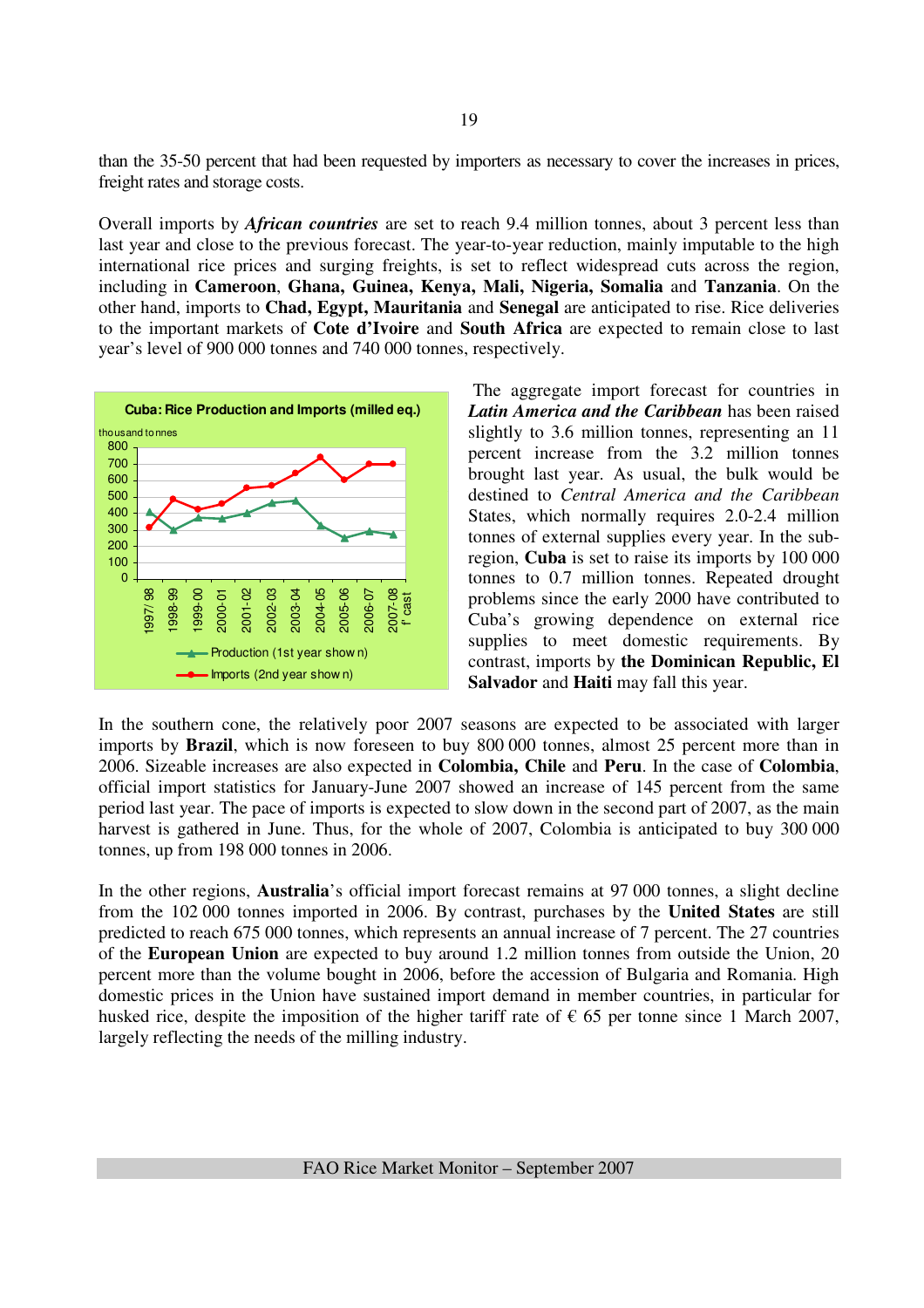than the 35-50 percent that had been requested by importers as necessary to cover the increases in prices, freight rates and storage costs.

Overall imports by *African countries* are set to reach 9.4 million tonnes, about 3 percent less than last year and close to the previous forecast. The year-to-year reduction, mainly imputable to the high international rice prices and surging freights, is set to reflect widespread cuts across the region, including in **Cameroon**, **Ghana, Guinea, Kenya, Mali, Nigeria, Somalia** and **Tanzania**. On the other hand, imports to **Chad, Egypt, Mauritania** and **Senegal** are anticipated to rise. Rice deliveries to the important markets of **Cote d'Ivoire** and **South Africa** are expected to remain close to last year's level of 900 000 tonnes and 740 000 tonnes, respectively.



 The aggregate import forecast for countries in *Latin America and the Caribbean* has been raised slightly to 3.6 million tonnes, representing an 11 percent increase from the 3.2 million tonnes brought last year. As usual, the bulk would be destined to *Central America and the Caribbean* States, which normally requires 2.0-2.4 million tonnes of external supplies every year. In the subregion, **Cuba** is set to raise its imports by 100 000 tonnes to 0.7 million tonnes. Repeated drought problems since the early 2000 have contributed to Cuba's growing dependence on external rice supplies to meet domestic requirements. By contrast, imports by **the Dominican Republic, El Salvador** and **Haiti** may fall this year.

In the southern cone, the relatively poor 2007 seasons are expected to be associated with larger imports by **Brazil**, which is now foreseen to buy 800 000 tonnes, almost 25 percent more than in 2006. Sizeable increases are also expected in **Colombia, Chile** and **Peru**. In the case of **Colombia**, official import statistics for January-June 2007 showed an increase of 145 percent from the same period last year. The pace of imports is expected to slow down in the second part of 2007, as the main harvest is gathered in June. Thus, for the whole of 2007, Colombia is anticipated to buy 300 000 tonnes, up from 198 000 tonnes in 2006.

In the other regions, **Australia**'s official import forecast remains at 97 000 tonnes, a slight decline from the 102 000 tonnes imported in 2006. By contrast, purchases by the **United States** are still predicted to reach 675 000 tonnes, which represents an annual increase of 7 percent. The 27 countries of the **European Union** are expected to buy around 1.2 million tonnes from outside the Union, 20 percent more than the volume bought in 2006, before the accession of Bulgaria and Romania. High domestic prices in the Union have sustained import demand in member countries, in particular for husked rice, despite the imposition of the higher tariff rate of  $\epsilon$  65 per tonne since 1 March 2007, largely reflecting the needs of the milling industry.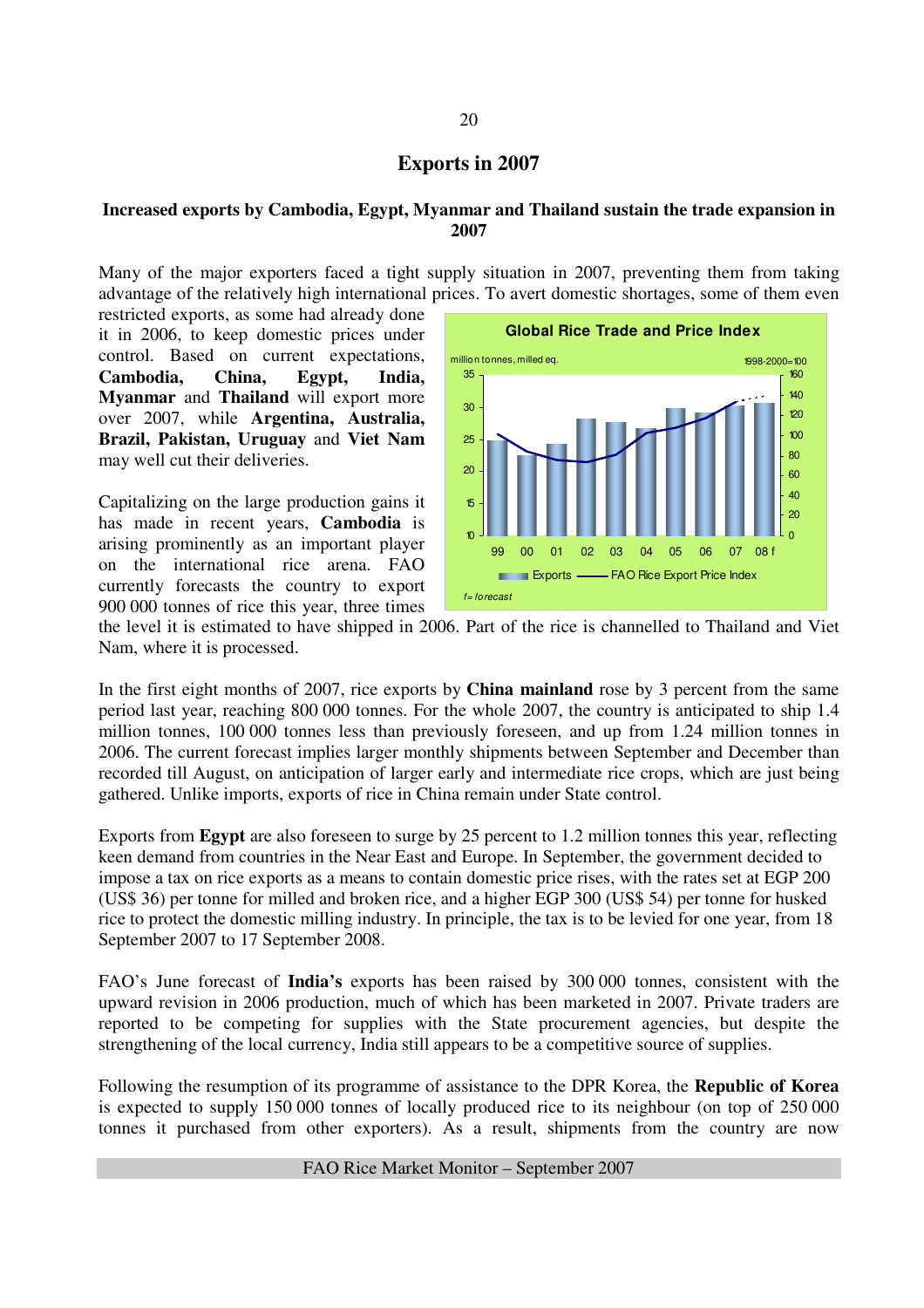#### **Exports in 2007**

#### **Increased exports by Cambodia, Egypt, Myanmar and Thailand sustain the trade expansion in 2007**

Many of the major exporters faced a tight supply situation in 2007, preventing them from taking advantage of the relatively high international prices. To avert domestic shortages, some of them even

restricted exports, as some had already done it in 2006, to keep domestic prices under control. Based on current expectations, **Cambodia, China, Egypt, India, Myanmar** and **Thailand** will export more over 2007, while **Argentina, Australia, Brazil, Pakistan, Uruguay** and **Viet Nam**  may well cut their deliveries.

Capitalizing on the large production gains it has made in recent years, **Cambodia** is arising prominently as an important player on the international rice arena. FAO currently forecasts the country to export 900 000 tonnes of rice this year, three times



the level it is estimated to have shipped in 2006. Part of the rice is channelled to Thailand and Viet Nam, where it is processed.

In the first eight months of 2007, rice exports by **China mainland** rose by 3 percent from the same period last year, reaching 800 000 tonnes. For the whole 2007, the country is anticipated to ship 1.4 million tonnes, 100 000 tonnes less than previously foreseen, and up from 1.24 million tonnes in 2006. The current forecast implies larger monthly shipments between September and December than recorded till August, on anticipation of larger early and intermediate rice crops, which are just being gathered. Unlike imports, exports of rice in China remain under State control.

Exports from **Egypt** are also foreseen to surge by 25 percent to 1.2 million tonnes this year, reflecting keen demand from countries in the Near East and Europe. In September, the government decided to impose a tax on rice exports as a means to contain domestic price rises, with the rates set at EGP 200 (US\$ 36) per tonne for milled and broken rice, and a higher EGP 300 (US\$ 54) per tonne for husked rice to protect the domestic milling industry. In principle, the tax is to be levied for one year, from 18 September 2007 to 17 September 2008.

FAO's June forecast of **India's** exports has been raised by 300 000 tonnes, consistent with the upward revision in 2006 production, much of which has been marketed in 2007. Private traders are reported to be competing for supplies with the State procurement agencies, but despite the strengthening of the local currency, India still appears to be a competitive source of supplies.

Following the resumption of its programme of assistance to the DPR Korea, the **Republic of Korea** is expected to supply 150 000 tonnes of locally produced rice to its neighbour (on top of 250 000 tonnes it purchased from other exporters). As a result, shipments from the country are now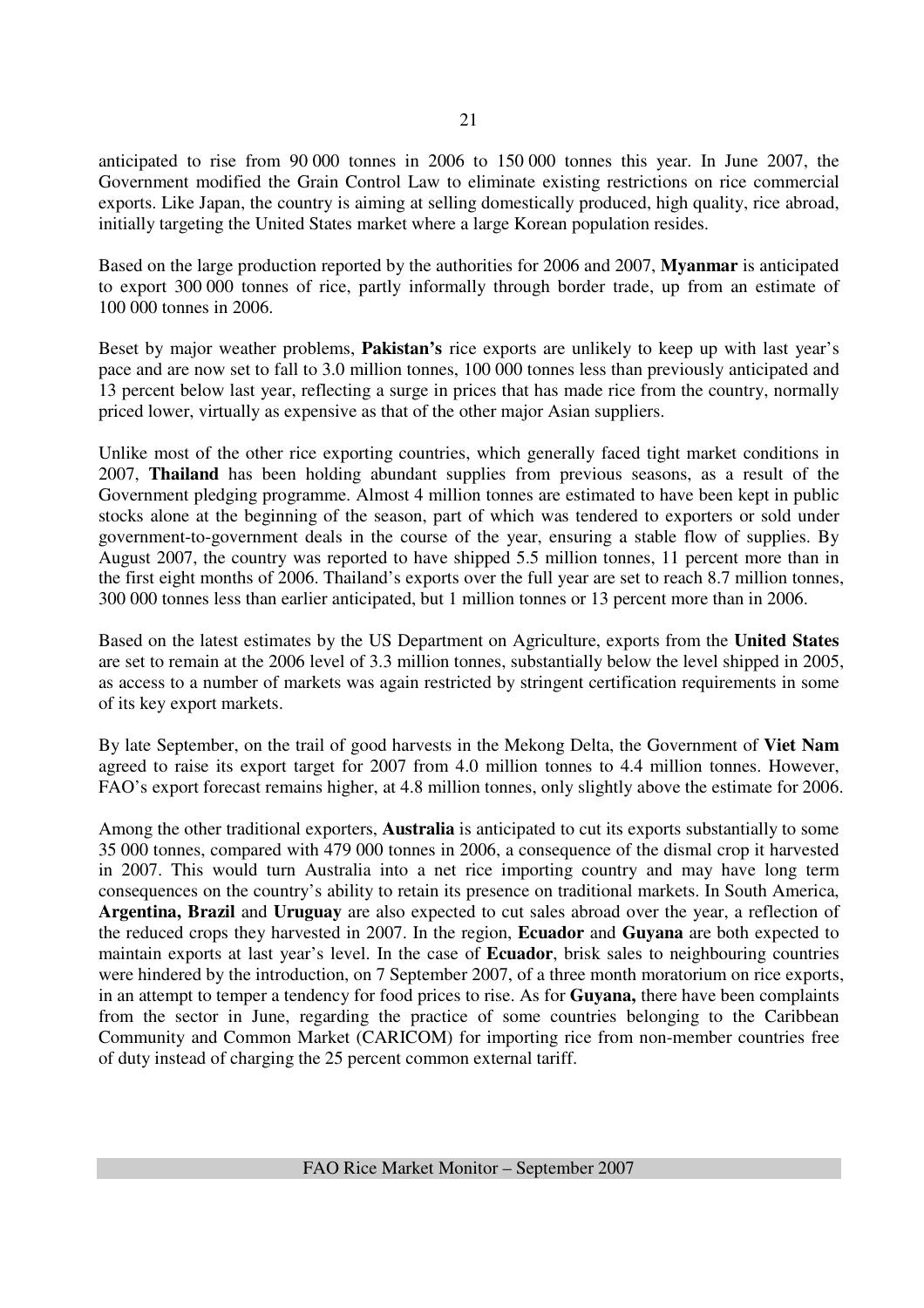anticipated to rise from 90 000 tonnes in 2006 to 150 000 tonnes this year. In June 2007, the Government modified the Grain Control Law to eliminate existing restrictions on rice commercial exports. Like Japan, the country is aiming at selling domestically produced, high quality, rice abroad, initially targeting the United States market where a large Korean population resides.

Based on the large production reported by the authorities for 2006 and 2007, **Myanmar** is anticipated to export 300 000 tonnes of rice, partly informally through border trade, up from an estimate of 100 000 tonnes in 2006.

Beset by major weather problems, **Pakistan's** rice exports are unlikely to keep up with last year's pace and are now set to fall to 3.0 million tonnes, 100 000 tonnes less than previously anticipated and 13 percent below last year, reflecting a surge in prices that has made rice from the country, normally priced lower, virtually as expensive as that of the other major Asian suppliers.

Unlike most of the other rice exporting countries, which generally faced tight market conditions in 2007, **Thailand** has been holding abundant supplies from previous seasons, as a result of the Government pledging programme. Almost 4 million tonnes are estimated to have been kept in public stocks alone at the beginning of the season, part of which was tendered to exporters or sold under government-to-government deals in the course of the year, ensuring a stable flow of supplies. By August 2007, the country was reported to have shipped 5.5 million tonnes, 11 percent more than in the first eight months of 2006. Thailand's exports over the full year are set to reach 8.7 million tonnes, 300 000 tonnes less than earlier anticipated, but 1 million tonnes or 13 percent more than in 2006.

Based on the latest estimates by the US Department on Agriculture, exports from the **United States** are set to remain at the 2006 level of 3.3 million tonnes, substantially below the level shipped in 2005, as access to a number of markets was again restricted by stringent certification requirements in some of its key export markets.

By late September, on the trail of good harvests in the Mekong Delta, the Government of **Viet Nam** agreed to raise its export target for 2007 from 4.0 million tonnes to 4.4 million tonnes. However, FAO's export forecast remains higher, at 4.8 million tonnes, only slightly above the estimate for 2006.

Among the other traditional exporters, **Australia** is anticipated to cut its exports substantially to some 35 000 tonnes, compared with 479 000 tonnes in 2006, a consequence of the dismal crop it harvested in 2007. This would turn Australia into a net rice importing country and may have long term consequences on the country's ability to retain its presence on traditional markets. In South America, **Argentina, Brazil** and **Uruguay** are also expected to cut sales abroad over the year, a reflection of the reduced crops they harvested in 2007. In the region, **Ecuador** and **Guyana** are both expected to maintain exports at last year's level. In the case of **Ecuador**, brisk sales to neighbouring countries were hindered by the introduction, on 7 September 2007, of a three month moratorium on rice exports, in an attempt to temper a tendency for food prices to rise. As for **Guyana,** there have been complaints from the sector in June, regarding the practice of some countries belonging to the Caribbean Community and Common Market (CARICOM) for importing rice from non-member countries free of duty instead of charging the 25 percent common external tariff.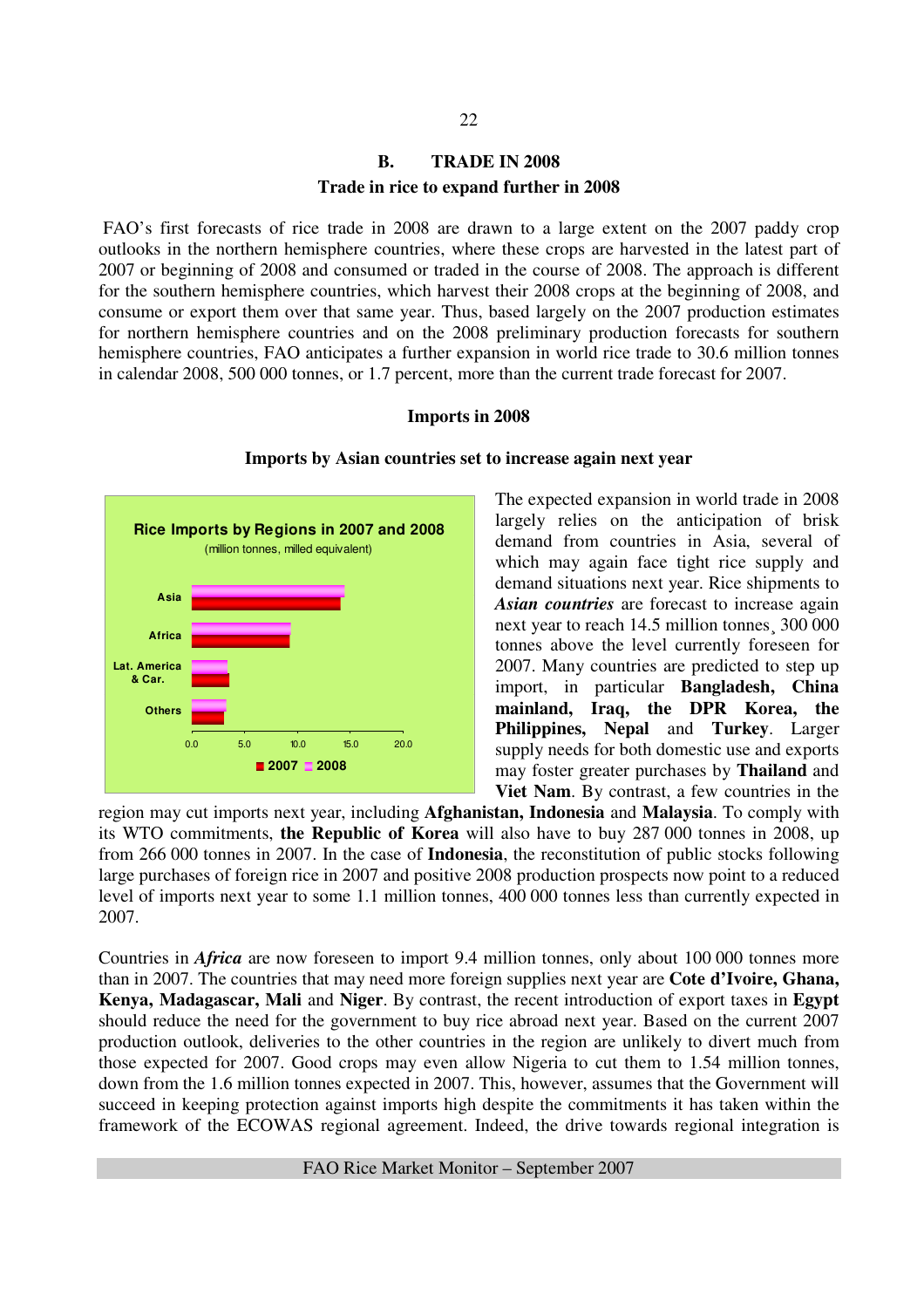# **B. TRADE IN 2008 Trade in rice to expand further in 2008**

 FAO's first forecasts of rice trade in 2008 are drawn to a large extent on the 2007 paddy crop outlooks in the northern hemisphere countries, where these crops are harvested in the latest part of 2007 or beginning of 2008 and consumed or traded in the course of 2008. The approach is different for the southern hemisphere countries, which harvest their 2008 crops at the beginning of 2008, and consume or export them over that same year. Thus, based largely on the 2007 production estimates for northern hemisphere countries and on the 2008 preliminary production forecasts for southern hemisphere countries, FAO anticipates a further expansion in world rice trade to 30.6 million tonnes in calendar 2008, 500 000 tonnes, or 1.7 percent, more than the current trade forecast for 2007.

#### **Imports in 2008**



#### **Imports by Asian countries set to increase again next year**

The expected expansion in world trade in 2008 largely relies on the anticipation of brisk demand from countries in Asia, several of which may again face tight rice supply and demand situations next year. Rice shipments to *Asian countries* are forecast to increase again next year to reach 14.5 million tonnes¸ 300 000 tonnes above the level currently foreseen for 2007. Many countries are predicted to step up import, in particular **Bangladesh, China mainland, Iraq, the DPR Korea, the Philippines, Nepal** and **Turkey**. Larger supply needs for both domestic use and exports may foster greater purchases by **Thailand** and **Viet Nam**. By contrast, a few countries in the

region may cut imports next year, including **Afghanistan, Indonesia** and **Malaysia**. To comply with its WTO commitments, **the Republic of Korea** will also have to buy 287 000 tonnes in 2008, up from 266 000 tonnes in 2007. In the case of **Indonesia**, the reconstitution of public stocks following large purchases of foreign rice in 2007 and positive 2008 production prospects now point to a reduced level of imports next year to some 1.1 million tonnes, 400 000 tonnes less than currently expected in 2007.

Countries in *Africa* are now foreseen to import 9.4 million tonnes, only about 100 000 tonnes more than in 2007. The countries that may need more foreign supplies next year are **Cote d'Ivoire, Ghana, Kenya, Madagascar, Mali** and **Niger**. By contrast, the recent introduction of export taxes in **Egypt** should reduce the need for the government to buy rice abroad next year. Based on the current 2007 production outlook, deliveries to the other countries in the region are unlikely to divert much from those expected for 2007. Good crops may even allow Nigeria to cut them to 1.54 million tonnes, down from the 1.6 million tonnes expected in 2007. This, however, assumes that the Government will succeed in keeping protection against imports high despite the commitments it has taken within the framework of the ECOWAS regional agreement. Indeed, the drive towards regional integration is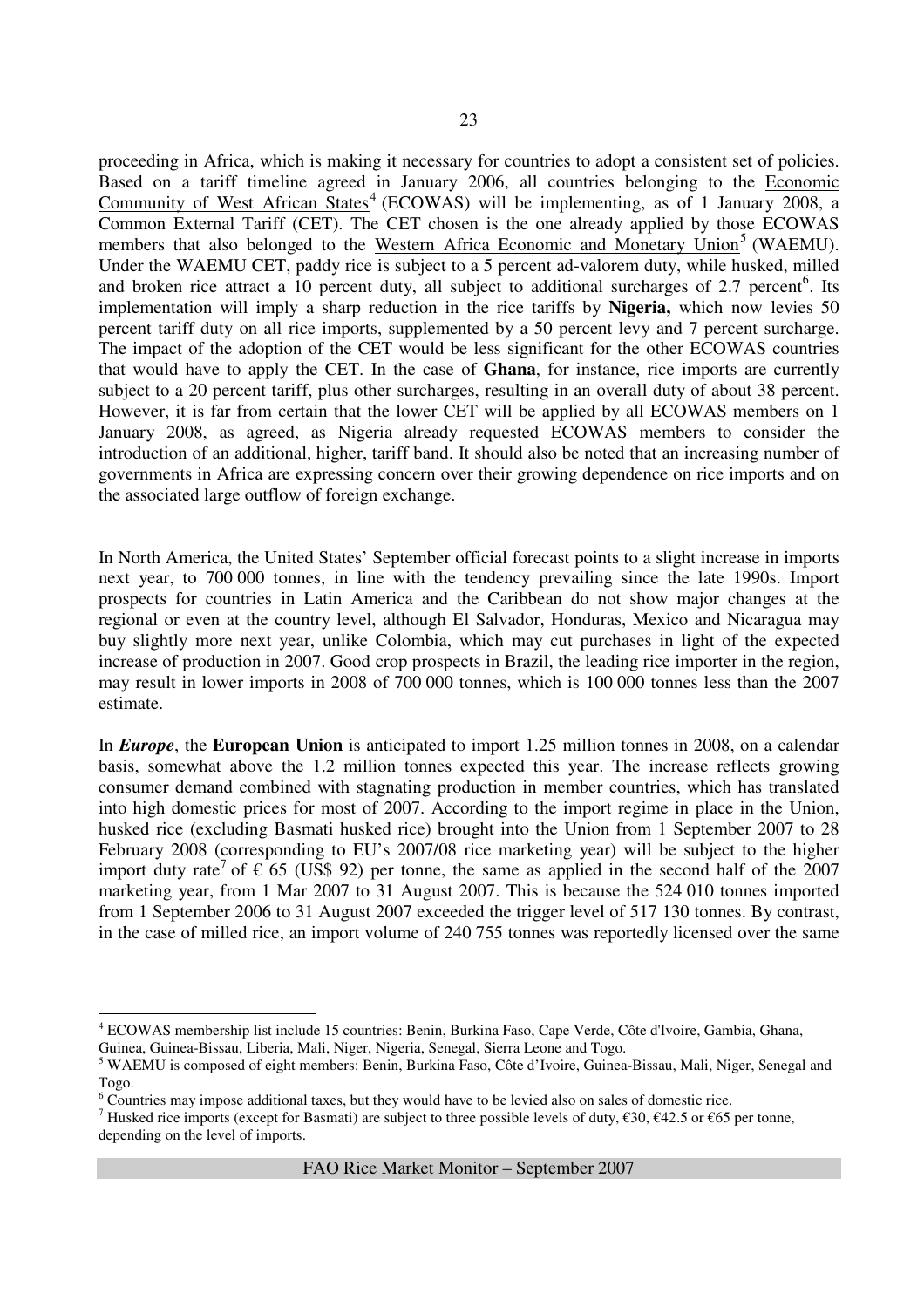proceeding in Africa, which is making it necessary for countries to adopt a consistent set of policies. Based on a tariff timeline agreed in January 2006, all countries belonging to the Economic Community of West African States<sup>4</sup> (ECOWAS) will be implementing, as of 1 January 2008, a Common External Tariff (CET). The CET chosen is the one already applied by those ECOWAS members that also belonged to the Western Africa Economic and Monetary Union<sup>5</sup> (WAEMU). Under the WAEMU CET, paddy rice is subject to a 5 percent ad-valorem duty, while husked, milled and broken rice attract a  $10$  percent duty, all subject to additional surcharges of 2.7 percent<sup>6</sup>. Its implementation will imply a sharp reduction in the rice tariffs by **Nigeria,** which now levies 50 percent tariff duty on all rice imports, supplemented by a 50 percent levy and 7 percent surcharge. The impact of the adoption of the CET would be less significant for the other ECOWAS countries that would have to apply the CET. In the case of **Ghana**, for instance, rice imports are currently subject to a 20 percent tariff, plus other surcharges, resulting in an overall duty of about 38 percent. However, it is far from certain that the lower CET will be applied by all ECOWAS members on 1 January 2008, as agreed, as Nigeria already requested ECOWAS members to consider the introduction of an additional, higher, tariff band. It should also be noted that an increasing number of governments in Africa are expressing concern over their growing dependence on rice imports and on the associated large outflow of foreign exchange.

In North America, the United States' September official forecast points to a slight increase in imports next year, to 700 000 tonnes, in line with the tendency prevailing since the late 1990s. Import prospects for countries in Latin America and the Caribbean do not show major changes at the regional or even at the country level, although El Salvador, Honduras, Mexico and Nicaragua may buy slightly more next year, unlike Colombia, which may cut purchases in light of the expected increase of production in 2007. Good crop prospects in Brazil, the leading rice importer in the region, may result in lower imports in 2008 of 700 000 tonnes, which is 100 000 tonnes less than the 2007 estimate.

In *Europe*, the **European Union** is anticipated to import 1.25 million tonnes in 2008, on a calendar basis, somewhat above the 1.2 million tonnes expected this year. The increase reflects growing consumer demand combined with stagnating production in member countries, which has translated into high domestic prices for most of 2007. According to the import regime in place in the Union, husked rice (excluding Basmati husked rice) brought into the Union from 1 September 2007 to 28 February 2008 (corresponding to EU's 2007/08 rice marketing year) will be subject to the higher import duty rate<sup>7</sup> of  $\epsilon$  65 (US\$ 92) per tonne, the same as applied in the second half of the 2007 marketing year, from 1 Mar 2007 to 31 August 2007. This is because the 524 010 tonnes imported from 1 September 2006 to 31 August 2007 exceeded the trigger level of 517 130 tonnes. By contrast, in the case of milled rice, an import volume of 240 755 tonnes was reportedly licensed over the same

<sup>7</sup> Husked rice imports (except for Basmati) are subject to three possible levels of duty,  $\epsilon$ 30,  $\epsilon$ 42.5 or  $\epsilon$ 65 per tonne, depending on the level of imports.

 4 ECOWAS membership list include 15 countries: Benin, Burkina Faso, Cape Verde, Côte d'Ivoire, Gambia, Ghana, Guinea, Guinea-Bissau, Liberia, Mali, Niger, Nigeria, Senegal, Sierra Leone and Togo.

<sup>&</sup>lt;sup>5</sup> WAEMU is composed of eight members: Benin, Burkina Faso, Côte d'Ivoire, Guinea-Bissau, Mali, Niger, Senegal and Togo.

<sup>&</sup>lt;sup>6</sup> Countries may impose additional taxes, but they would have to be levied also on sales of domestic rice.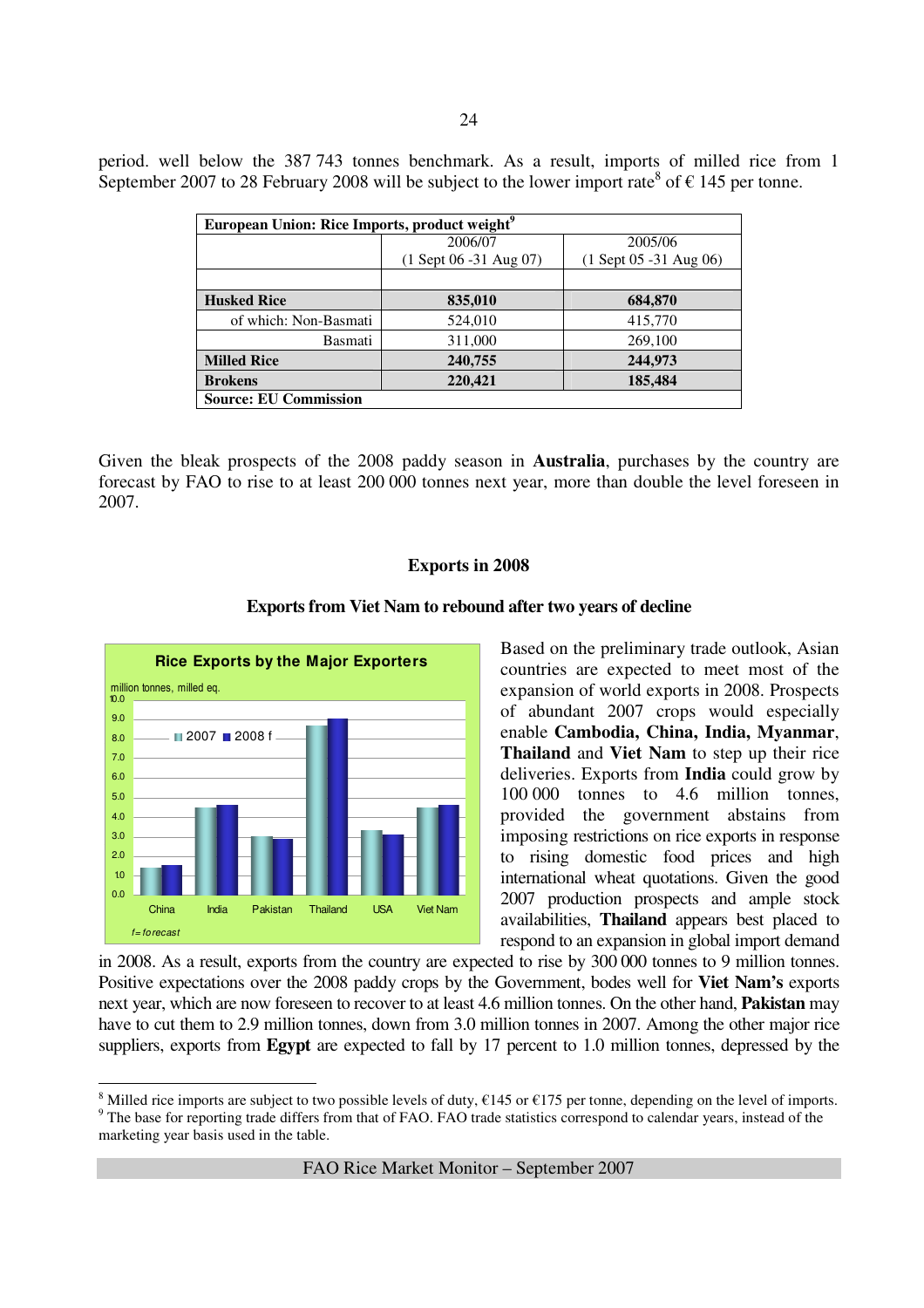|  |  |  | period. well below the 387 743 tonnes benchmark. As a result, imports of milled rice from 1                           |  |  |  |  |  |
|--|--|--|-----------------------------------------------------------------------------------------------------------------------|--|--|--|--|--|
|  |  |  | September 2007 to 28 February 2008 will be subject to the lower import rate <sup>8</sup> of $\epsilon$ 145 per tonne. |  |  |  |  |  |

| European Union: Rice Imports, product weight <sup>9</sup> |                          |                          |
|-----------------------------------------------------------|--------------------------|--------------------------|
|                                                           | 2006/07                  | 2005/06                  |
|                                                           | $(1$ Sept 06 -31 Aug 07) | $(1$ Sept 05 -31 Aug 06) |
|                                                           |                          |                          |
| <b>Husked Rice</b>                                        | 835,010                  | 684,870                  |
| of which: Non-Basmati                                     | 524,010                  | 415,770                  |
| Basmati                                                   | 311,000                  | 269,100                  |
| <b>Milled Rice</b>                                        | 240,755                  | 244,973                  |
| <b>Brokens</b>                                            | 220,421                  | 185,484                  |
| <b>Source: EU Commission</b>                              |                          |                          |

Given the bleak prospects of the 2008 paddy season in **Australia**, purchases by the country are forecast by FAO to rise to at least 200 000 tonnes next year, more than double the level foreseen in 2007.

#### **Exports in 2008**



 $\overline{a}$ 

#### **Exports from Viet Nam to rebound after two years of decline**

Based on the preliminary trade outlook, Asian countries are expected to meet most of the expansion of world exports in 2008. Prospects of abundant 2007 crops would especially enable **Cambodia, China, India, Myanmar**, **Thailand** and **Viet Nam** to step up their rice deliveries. Exports from **India** could grow by 100 000 tonnes to 4.6 million tonnes, provided the government abstains from imposing restrictions on rice exports in response to rising domestic food prices and high international wheat quotations. Given the good 2007 production prospects and ample stock availabilities, **Thailand** appears best placed to respond to an expansion in global import demand

in 2008. As a result, exports from the country are expected to rise by 300 000 tonnes to 9 million tonnes. Positive expectations over the 2008 paddy crops by the Government, bodes well for **Viet Nam's** exports next year, which are now foreseen to recover to at least 4.6 million tonnes. On the other hand, **Pakistan** may have to cut them to 2.9 million tonnes, down from 3.0 million tonnes in 2007. Among the other major rice suppliers, exports from **Egypt** are expected to fall by 17 percent to 1.0 million tonnes, depressed by the

<sup>&</sup>lt;sup>8</sup> Milled rice imports are subject to two possible levels of duty,  $\epsilon$ 145 or  $\epsilon$ 175 per tonne, depending on the level of imports. <sup>9</sup> The base for reporting trade differs from that of FAO. FAO trade statistics correspond to calendar years, instead of the marketing year basis used in the table.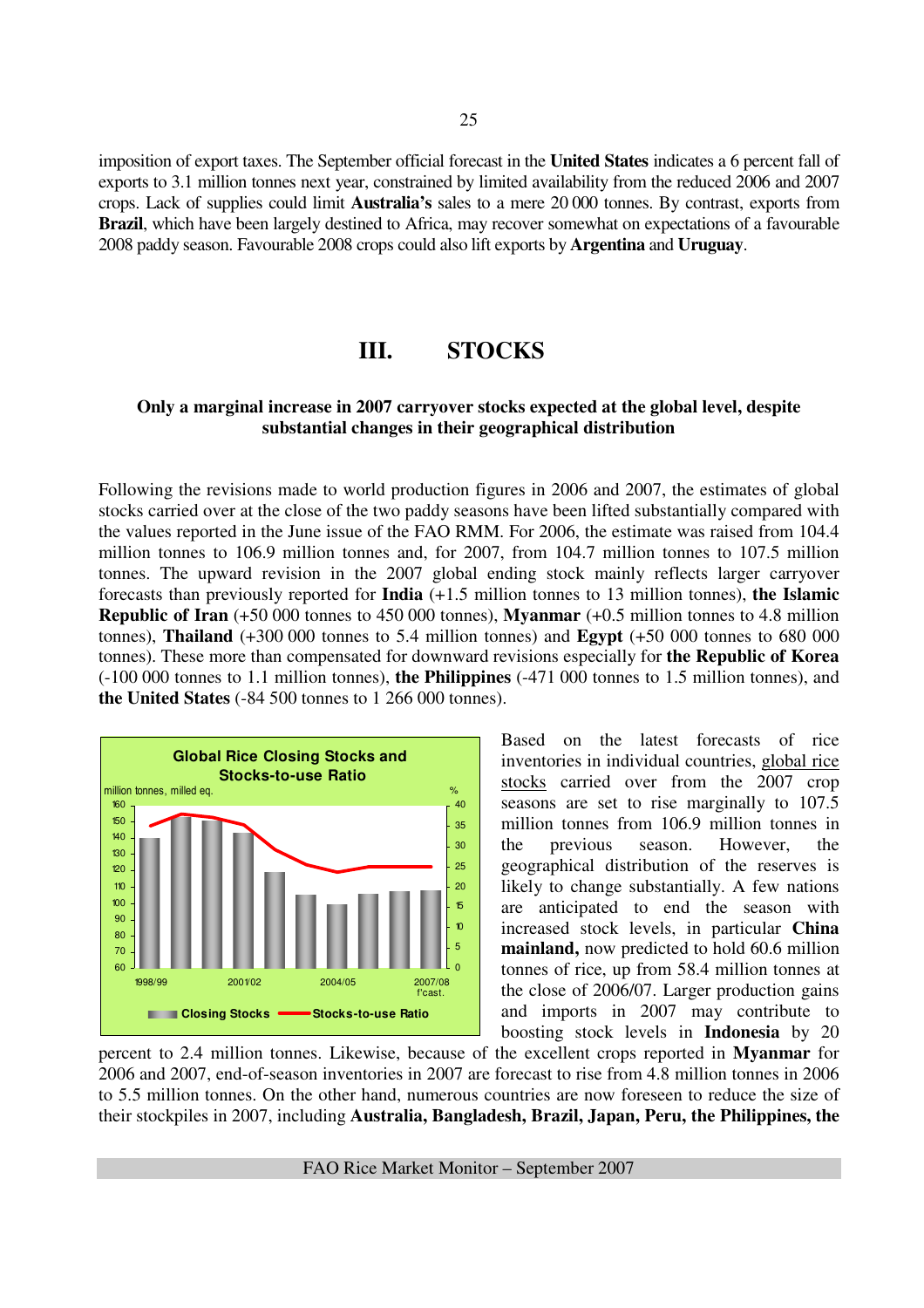imposition of export taxes. The September official forecast in the **United States** indicates a 6 percent fall of exports to 3.1 million tonnes next year, constrained by limited availability from the reduced 2006 and 2007 crops. Lack of supplies could limit **Australia's** sales to a mere 20 000 tonnes. By contrast, exports from **Brazil**, which have been largely destined to Africa, may recover somewhat on expectations of a favourable 2008 paddy season. Favourable 2008 crops could also lift exports by **Argentina** and **Uruguay**.

# **III. STOCKS**

#### **Only a marginal increase in 2007 carryover stocks expected at the global level, despite substantial changes in their geographical distribution**

Following the revisions made to world production figures in 2006 and 2007, the estimates of global stocks carried over at the close of the two paddy seasons have been lifted substantially compared with the values reported in the June issue of the FAO RMM. For 2006, the estimate was raised from 104.4 million tonnes to 106.9 million tonnes and, for 2007, from 104.7 million tonnes to 107.5 million tonnes. The upward revision in the 2007 global ending stock mainly reflects larger carryover forecasts than previously reported for **India** (+1.5 million tonnes to 13 million tonnes), **the Islamic Republic of Iran** (+50 000 tonnes to 450 000 tonnes), **Myanmar** (+0.5 million tonnes to 4.8 million tonnes), **Thailand** (+300 000 tonnes to 5.4 million tonnes) and **Egypt** (+50 000 tonnes to 680 000 tonnes). These more than compensated for downward revisions especially for **the Republic of Korea** (-100 000 tonnes to 1.1 million tonnes), **the Philippines** (-471 000 tonnes to 1.5 million tonnes), and **the United States** (-84 500 tonnes to 1 266 000 tonnes).



Based on the latest forecasts of rice inventories in individual countries, global rice stocks carried over from the 2007 crop seasons are set to rise marginally to 107.5 million tonnes from 106.9 million tonnes in the previous season. However, the geographical distribution of the reserves is likely to change substantially. A few nations are anticipated to end the season with increased stock levels, in particular **China mainland,** now predicted to hold 60.6 million tonnes of rice, up from 58.4 million tonnes at the close of 2006/07. Larger production gains and imports in 2007 may contribute to boosting stock levels in **Indonesia** by 20

percent to 2.4 million tonnes. Likewise, because of the excellent crops reported in **Myanmar** for 2006 and 2007, end-of-season inventories in 2007 are forecast to rise from 4.8 million tonnes in 2006 to 5.5 million tonnes. On the other hand, numerous countries are now foreseen to reduce the size of their stockpiles in 2007, including **Australia, Bangladesh, Brazil, Japan, Peru, the Philippines, the**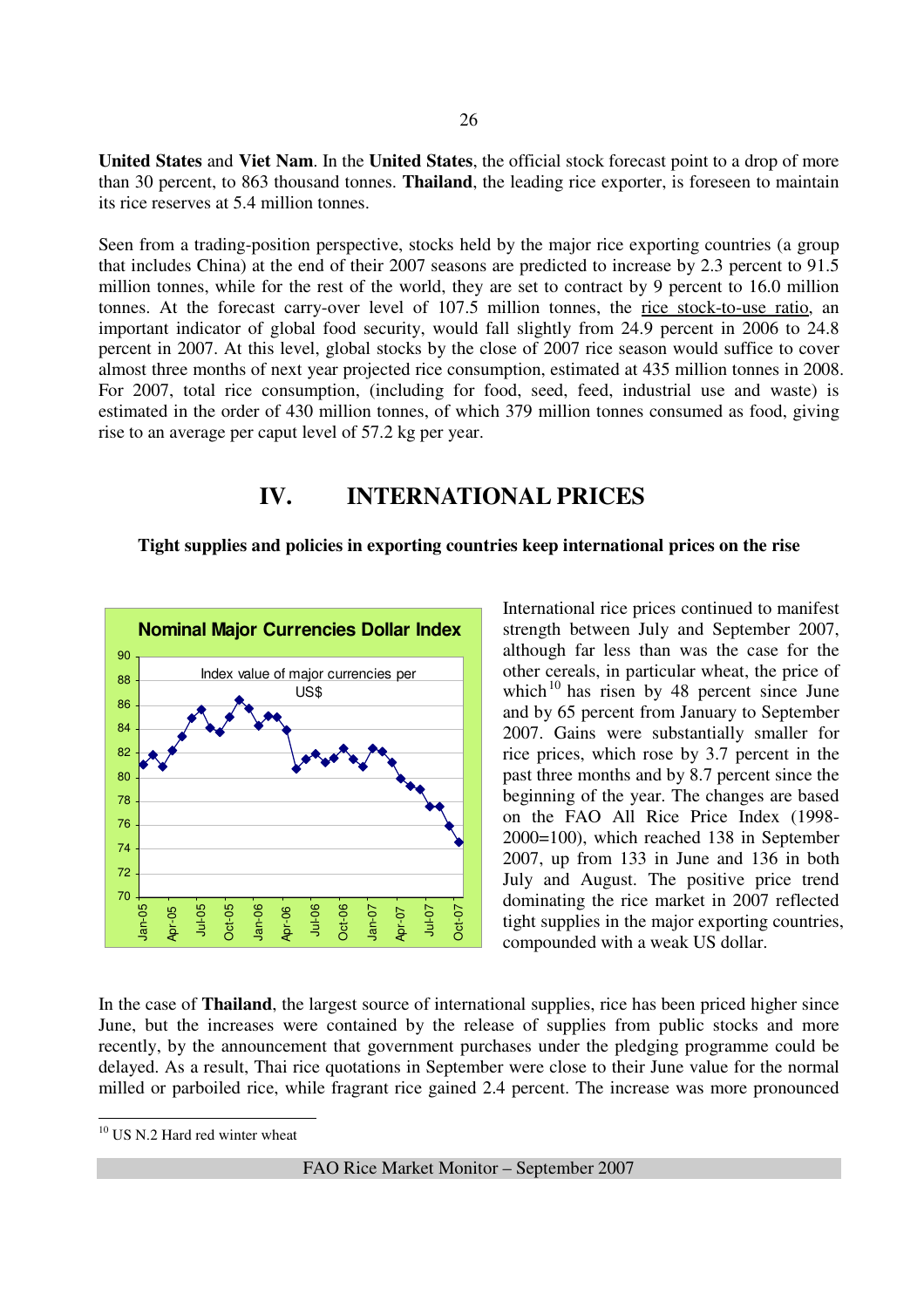**United States** and **Viet Nam**. In the **United States**, the official stock forecast point to a drop of more than 30 percent, to 863 thousand tonnes. **Thailand**, the leading rice exporter, is foreseen to maintain its rice reserves at 5.4 million tonnes.

Seen from a trading-position perspective, stocks held by the major rice exporting countries (a group that includes China) at the end of their 2007 seasons are predicted to increase by 2.3 percent to 91.5 million tonnes, while for the rest of the world, they are set to contract by 9 percent to 16.0 million tonnes. At the forecast carry-over level of 107.5 million tonnes, the rice stock-to-use ratio, an important indicator of global food security, would fall slightly from 24.9 percent in 2006 to 24.8 percent in 2007. At this level, global stocks by the close of 2007 rice season would suffice to cover almost three months of next year projected rice consumption, estimated at 435 million tonnes in 2008. For 2007, total rice consumption, (including for food, seed, feed, industrial use and waste) is estimated in the order of 430 million tonnes, of which 379 million tonnes consumed as food, giving rise to an average per caput level of 57.2 kg per year.

# **IV. INTERNATIONAL PRICES**

#### **Tight supplies and policies in exporting countries keep international prices on the rise**



International rice prices continued to manifest strength between July and September 2007, although far less than was the case for the other cereals, in particular wheat, the price of which<sup>10</sup> has risen by 48 percent since June and by 65 percent from January to September 2007. Gains were substantially smaller for rice prices, which rose by 3.7 percent in the past three months and by 8.7 percent since the beginning of the year. The changes are based on the FAO All Rice Price Index (1998- 2000=100), which reached 138 in September 2007, up from 133 in June and 136 in both July and August. The positive price trend dominating the rice market in 2007 reflected tight supplies in the major exporting countries, compounded with a weak US dollar.

In the case of **Thailand**, the largest source of international supplies, rice has been priced higher since June, but the increases were contained by the release of supplies from public stocks and more recently, by the announcement that government purchases under the pledging programme could be delayed. As a result, Thai rice quotations in September were close to their June value for the normal milled or parboiled rice, while fragrant rice gained 2.4 percent. The increase was more pronounced

 $\overline{a}$ 

 $10$  US N.2 Hard red winter wheat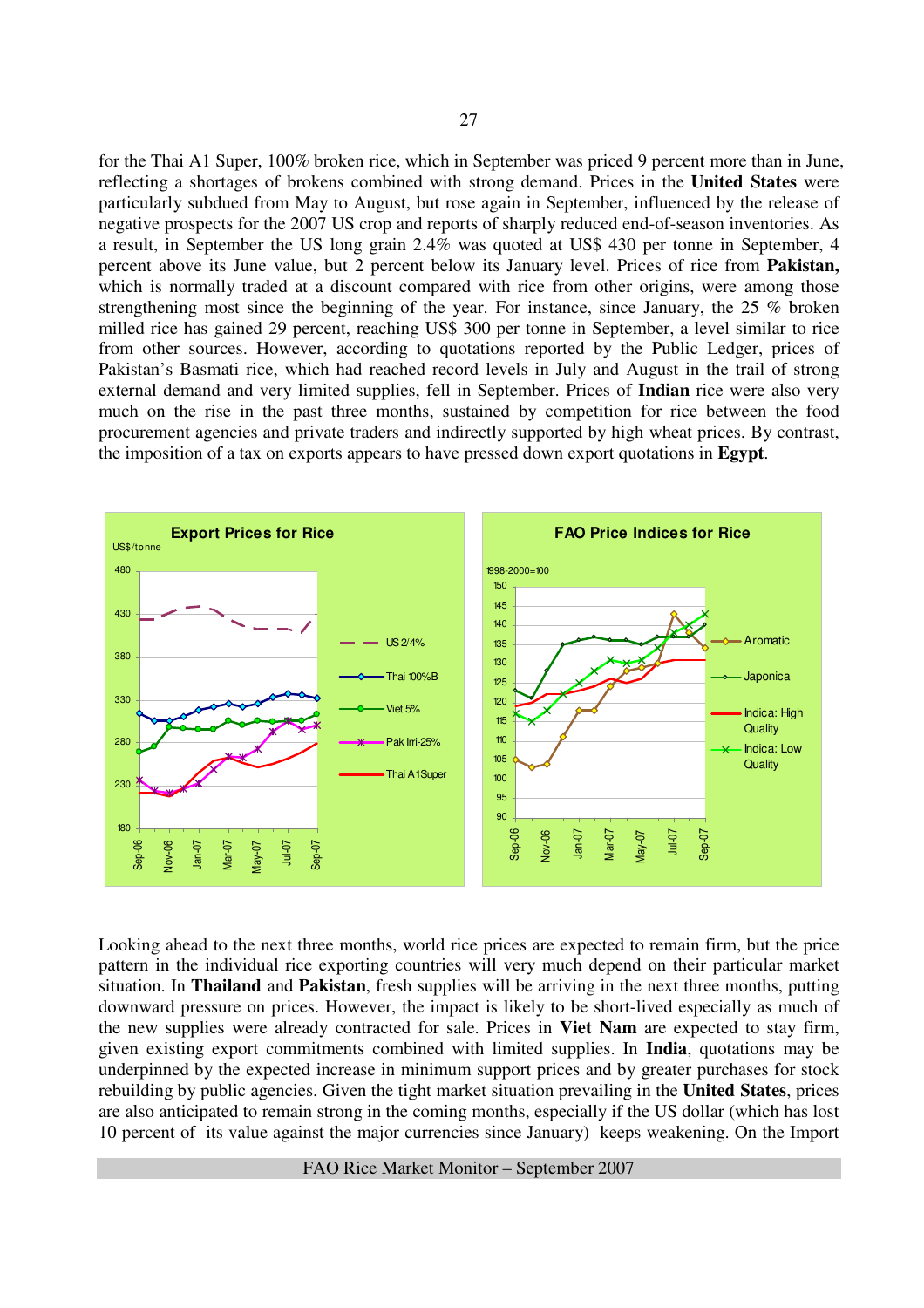for the Thai A1 Super, 100% broken rice, which in September was priced 9 percent more than in June, reflecting a shortages of brokens combined with strong demand. Prices in the **United States** were particularly subdued from May to August, but rose again in September, influenced by the release of negative prospects for the 2007 US crop and reports of sharply reduced end-of-season inventories. As a result, in September the US long grain 2.4% was quoted at US\$ 430 per tonne in September, 4 percent above its June value, but 2 percent below its January level. Prices of rice from **Pakistan,**  which is normally traded at a discount compared with rice from other origins, were among those strengthening most since the beginning of the year. For instance, since January, the 25 % broken milled rice has gained 29 percent, reaching US\$ 300 per tonne in September, a level similar to rice from other sources. However, according to quotations reported by the Public Ledger, prices of Pakistan's Basmati rice, which had reached record levels in July and August in the trail of strong external demand and very limited supplies, fell in September. Prices of **Indian** rice were also very much on the rise in the past three months, sustained by competition for rice between the food procurement agencies and private traders and indirectly supported by high wheat prices. By contrast, the imposition of a tax on exports appears to have pressed down export quotations in **Egypt**.



Looking ahead to the next three months, world rice prices are expected to remain firm, but the price pattern in the individual rice exporting countries will very much depend on their particular market situation. In **Thailand** and **Pakistan**, fresh supplies will be arriving in the next three months, putting downward pressure on prices. However, the impact is likely to be short-lived especially as much of the new supplies were already contracted for sale. Prices in **Viet Nam** are expected to stay firm, given existing export commitments combined with limited supplies. In **India**, quotations may be underpinned by the expected increase in minimum support prices and by greater purchases for stock rebuilding by public agencies. Given the tight market situation prevailing in the **United States**, prices are also anticipated to remain strong in the coming months, especially if the US dollar (which has lost 10 percent of its value against the major currencies since January) keeps weakening. On the Import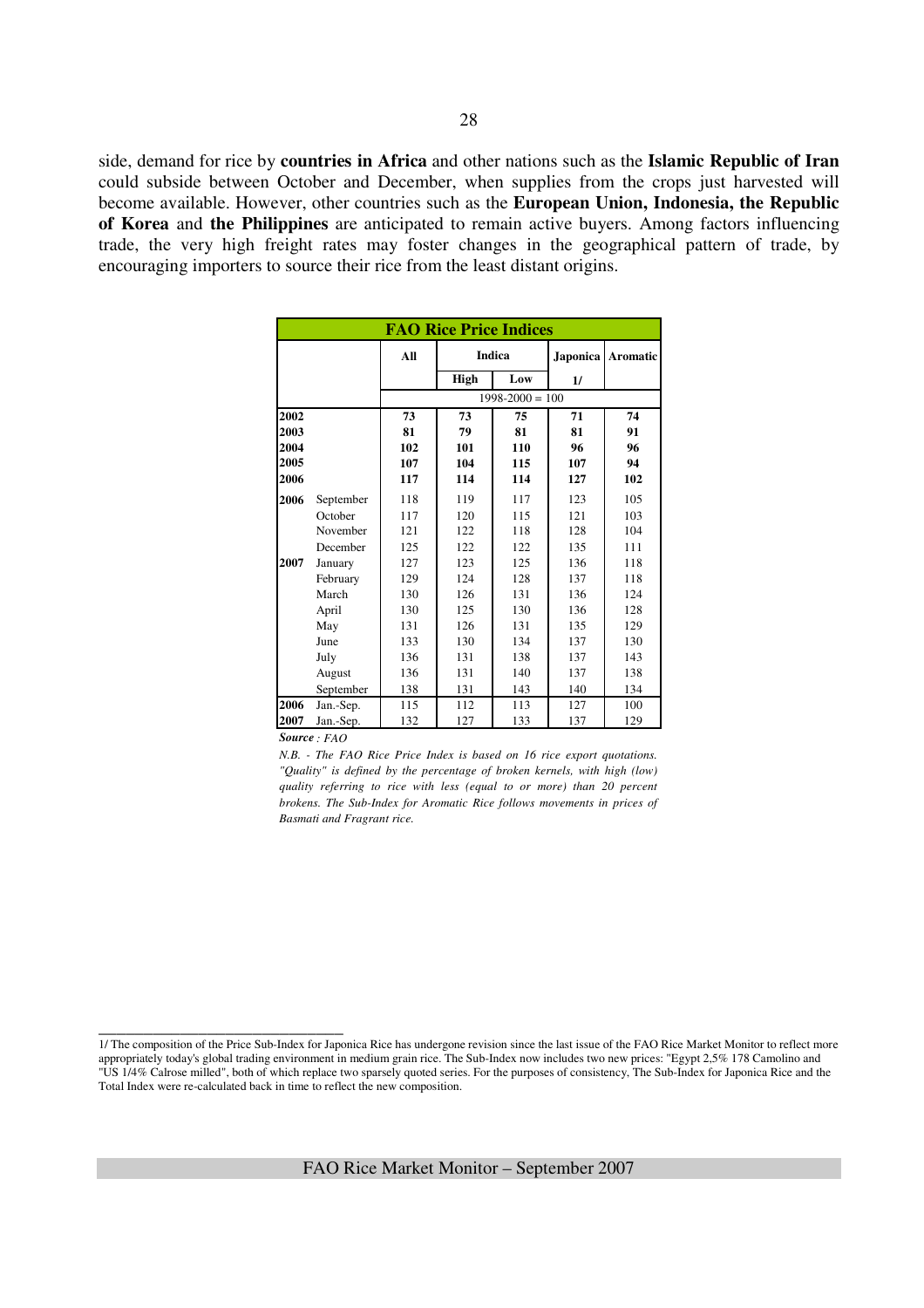side, demand for rice by **countries in Africa** and other nations such as the **Islamic Republic of Iran** could subside between October and December, when supplies from the crops just harvested will become available. However, other countries such as the **European Union, Indonesia, the Republic of Korea** and **the Philippines** are anticipated to remain active buyers. Among factors influencing trade, the very high freight rates may foster changes in the geographical pattern of trade, by encouraging importers to source their rice from the least distant origins.

|      |           |     | <b>FAO Rice Price Indices</b> |                     |                 |                 |
|------|-----------|-----|-------------------------------|---------------------|-----------------|-----------------|
|      |           | All |                               | <b>Indica</b>       | <b>Japonica</b> | <b>Aromatic</b> |
|      |           |     | High                          | Low                 | 1/              |                 |
|      |           |     |                               | $1998 - 2000 = 100$ |                 |                 |
| 2002 |           | 73  | 73                            | 75                  | 71              | 74              |
| 2003 |           | 81  | 79                            | 81                  | 81              | 91              |
| 2004 |           | 102 | 101                           | 110                 | 96              | 96              |
| 2005 |           | 107 | 104                           | 115                 | 107             | 94              |
| 2006 |           | 117 | 114                           | 114                 | 127             | 102             |
| 2006 | September | 118 | 119                           | 117                 | 123             | 105             |
|      | October   | 117 | 120                           | 115                 | 121             | 103             |
|      | November  | 121 | 122                           | 118                 | 128             | 104             |
|      | December  | 125 | 122                           | 122                 | 135             | 111             |
| 2007 | January   | 127 | 123                           | 125                 | 136             | 118             |
|      | February  | 129 | 124                           | 128                 | 137             | 118             |
|      | March     | 130 | 126                           | 131                 | 136             | 124             |
|      | April     | 130 | 125                           | 130                 | 136             | 128             |
|      | May       | 131 | 126                           | 131                 | 135             | 129             |
|      | June      | 133 | 130                           | 134                 | 137             | 130             |
|      | July      | 136 | 131                           | 138                 | 137             | 143             |
|      | August    | 136 | 131                           | 140                 | 137             | 138             |
|      | September | 138 | 131                           | 143                 | 140             | 134             |
| 2006 | Jan.-Sep. | 115 | 112                           | 113                 | 127             | 100             |
| 2007 | Jan.-Sep. | 132 | 127                           | 133                 | 137             | 129             |

*Source : FAO* 

\_\_\_\_\_\_\_\_\_\_\_\_\_\_\_\_\_\_\_\_\_\_\_\_\_\_\_

*N.B. - The FAO Rice Price Index is based on 16 rice export quotations. "Quality" is defined by the percentage of broken kernels, with high (low) quality referring to rice with less (equal to or more) than 20 percent brokens. The Sub-Index for Aromatic Rice follows movements in prices of Basmati and Fragrant rice.*

<sup>1/</sup> The composition of the Price Sub-Index for Japonica Rice has undergone revision since the last issue of the FAO Rice Market Monitor to reflect more appropriately today's global trading environment in medium grain rice. The Sub-Index now includes two new prices: "Egypt 2,5% 178 Camolino and "US 1/4% Calrose milled", both of which replace two sparsely quoted series. For the purposes of consistency, The Sub-Index for Japonica Rice and the Total Index were re-calculated back in time to reflect the new composition.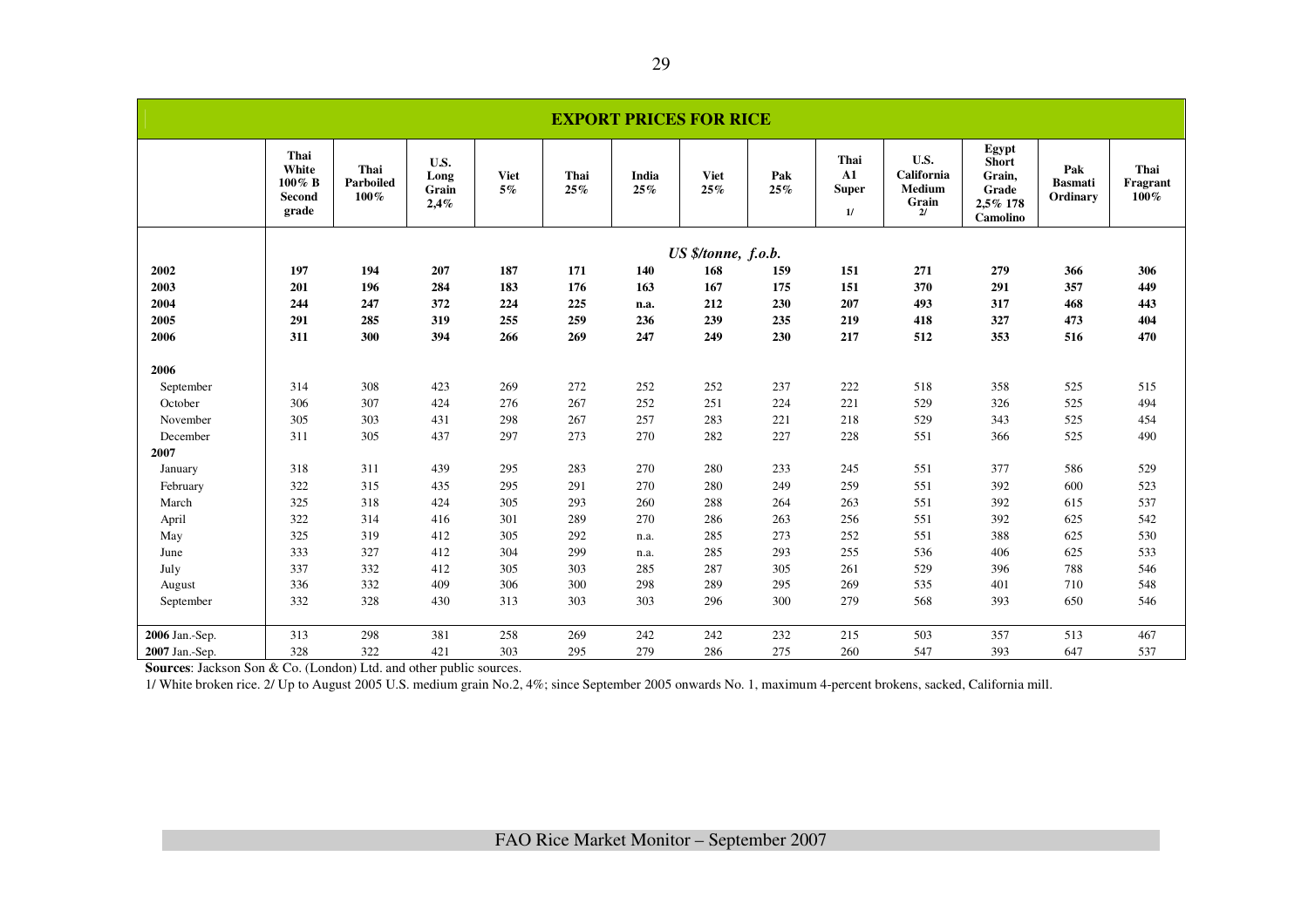|                |                                            |                           |                               |                   |             |              | <b>EXPORT PRICES FOR RICE</b> |            |                                          |                                                    |                                                                  |                                   |                          |
|----------------|--------------------------------------------|---------------------------|-------------------------------|-------------------|-------------|--------------|-------------------------------|------------|------------------------------------------|----------------------------------------------------|------------------------------------------------------------------|-----------------------------------|--------------------------|
|                | Thai<br>White<br>100% B<br>Second<br>grade | Thai<br>Parboiled<br>100% | U.S.<br>Long<br>Grain<br>2,4% | <b>Viet</b><br>5% | Thai<br>25% | India<br>25% | <b>Viet</b><br>25%            | Pak<br>25% | Thai<br>${\bf A1}$<br><b>Super</b><br>1/ | U.S.<br>California<br><b>Medium</b><br>Grain<br>2l | Egypt<br><b>Short</b><br>Grain,<br>Grade<br>2,5% 178<br>Camolino | Pak<br><b>Basmati</b><br>Ordinary | Thai<br>Fragrant<br>100% |
|                |                                            |                           |                               |                   |             |              | US \$/tonne, f.o.b.           |            |                                          |                                                    |                                                                  |                                   |                          |
| 2002           | 197                                        | 194                       | 207                           | 187               | 171         | 140          | 168                           | 159        | 151                                      | 271                                                | 279                                                              | 366                               | 306                      |
| 2003           | 201                                        | 196                       | 284                           | 183               | 176         | 163          | 167                           | 175        | 151                                      | 370                                                | 291                                                              | 357                               | 449                      |
| 2004           | 244                                        | 247                       | 372                           | 224               | 225         | n.a.         | 212                           | 230        | 207                                      | 493                                                | 317                                                              | 468                               | 443                      |
| 2005           | 291                                        | 285                       | 319                           | 255               | 259         | 236          | 239                           | 235        | 219                                      | 418                                                | 327                                                              | 473                               | 404                      |
| 2006           | 311                                        | 300                       | 394                           | 266               | 269         | 247          | 249                           | 230        | 217                                      | 512                                                | 353                                                              | 516                               | 470                      |
| 2006           |                                            |                           |                               |                   |             |              |                               |            |                                          |                                                    |                                                                  |                                   |                          |
| September      | 314                                        | 308                       | 423                           | 269               | 272         | 252          | 252                           | 237        | 222                                      | 518                                                | 358                                                              | 525                               | 515                      |
| October        | 306                                        | 307                       | 424                           | 276               | 267         | 252          | 251                           | 224        | 221                                      | 529                                                | 326                                                              | 525                               | 494                      |
| November       | 305                                        | 303                       | 431                           | 298               | 267         | 257          | 283                           | 221        | 218                                      | 529                                                | 343                                                              | 525                               | 454                      |
| December       | 311                                        | 305                       | 437                           | 297               | 273         | 270          | 282                           | 227        | 228                                      | 551                                                | 366                                                              | 525                               | 490                      |
| 2007           |                                            |                           |                               |                   |             |              |                               |            |                                          |                                                    |                                                                  |                                   |                          |
| January        | 318                                        | 311                       | 439                           | 295               | 283         | 270          | 280                           | 233        | 245                                      | 551                                                | 377                                                              | 586                               | 529                      |
| February       | 322                                        | 315                       | 435                           | 295               | 291         | 270          | 280                           | 249        | 259                                      | 551                                                | 392                                                              | 600                               | 523                      |
| March          | 325                                        | 318                       | 424                           | 305               | 293         | 260          | 288                           | 264        | 263                                      | 551                                                | 392                                                              | 615                               | 537                      |
| April          | 322                                        | 314                       | 416                           | 301               | 289         | 270          | 286                           | 263        | 256                                      | 551                                                | 392                                                              | 625                               | 542                      |
| May            | 325                                        | 319                       | 412                           | 305               | 292         | n.a.         | 285                           | 273        | 252                                      | 551                                                | 388                                                              | 625                               | 530                      |
| June           | 333                                        | 327                       | 412                           | 304               | 299         | n.a.         | 285                           | 293        | 255                                      | 536                                                | 406                                                              | 625                               | 533                      |
| July           | 337                                        | 332                       | 412                           | 305               | 303         | 285          | 287                           | 305        | 261                                      | 529                                                | 396                                                              | 788                               | 546                      |
| August         | 336                                        | 332                       | 409                           | 306               | 300         | 298          | 289                           | 295        | 269                                      | 535                                                | 401                                                              | 710                               | 548                      |
| September      | 332                                        | 328                       | 430                           | 313               | 303         | 303          | 296                           | 300        | 279                                      | 568                                                | 393                                                              | 650                               | 546                      |
| 2006 Jan.-Sep. | 313                                        | 298                       | 381                           | 258               | 269         | 242          | 242                           | 232        | 215                                      | 503                                                | 357                                                              | 513                               | 467                      |
| 2007 Jan.-Sep. | 328                                        | 322                       | 421                           | 303               | 295         | 279          | 286                           | 275        | 260                                      | 547                                                | 393                                                              | 647                               | 537                      |

**Sources**: Jackson Son & Co. (London) Ltd. and other public sources.

1/ White broken rice. 2/ Up to August 2005 U.S. medium grain No.2, 4%; since September 2005 onwards No. 1, maximum 4-percent brokens, sacked, California mill.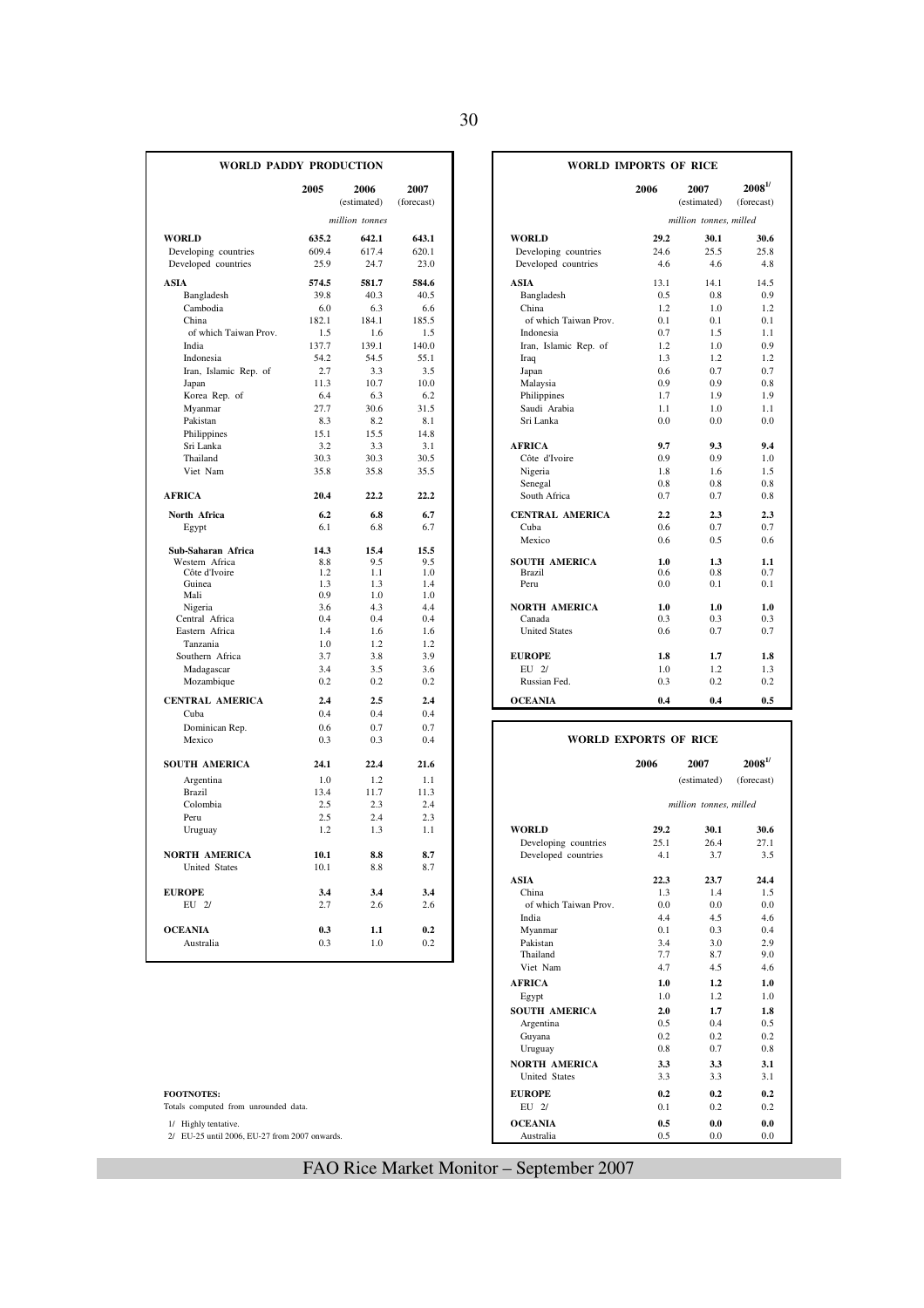| I<br>Ξ        |                   |
|---------------|-------------------|
| ۰.<br>۰,<br>× | ٠<br>٦<br>×<br>۰. |

|                                 | 2005       | 2006<br>(estimated) | 2007<br>(forecast) |                                       | 2006       | 2007<br>(estimated)    | $2008^{1/}$<br>(forecast)     |
|---------------------------------|------------|---------------------|--------------------|---------------------------------------|------------|------------------------|-------------------------------|
|                                 |            | million tonnes      |                    |                                       |            | million tonnes, milled |                               |
| <b>WORLD</b>                    | 635.2      | 642.1               | 643.1              | <b>WORLD</b>                          | 29.2       | 30.1                   | 30.6                          |
| Developing countries            | 609.4      | 617.4               | 620.1              | Developing countries                  | 24.6       | 25.5                   | 25.8                          |
| Developed countries             | 25.9       | 24.7                | 23.0               | Developed countries                   | 4.6        | 4.6                    | 4.8                           |
| <b>ASIA</b>                     | 574.5      | 581.7               | 584.6              | ASIA                                  | 13.1       | 14.1                   | 14.5                          |
| Bangladesh                      | 39.8       | 40.3                | 40.5               | Bangladesh                            | 0.5        | 0.8                    | 0.9                           |
| Cambodia                        | 6.0        | 6.3                 | 6.6                | China                                 | 1.2        | 1.0                    | 1.2                           |
| China                           | 182.1      | 184.1               | 185.5              | of which Taiwan Prov.                 | 0.1        | 0.1                    | 0.1                           |
| of which Taiwan Prov.           | 1.5        | 1.6                 | 1.5                | Indonesia                             | 0.7        | 1.5                    | 1.1                           |
| India                           | 137.7      | 139.1               | 140.0              | Iran, Islamic Rep. of                 | 1.2        | 1.0                    | 0.9                           |
| Indonesia                       | 54.2       | 54.5                | 55.1               | Iraq                                  | 1.3        | 1.2                    | 1.2                           |
| Iran, Islamic Rep. of           | 2.7        | 3.3                 | 3.5                | Japan                                 | 0.6        | 0.7                    | 0.7                           |
| Japan                           | 11.3       | 10.7                | 10.0               | Malaysia                              | 0.9        | 0.9                    | 0.8                           |
| Korea Rep. of                   | 6.4        | 6.3                 | 6.2                | Philippines                           | 1.7        | 1.9                    | 1.9                           |
| Myanmar                         | 27.7       | 30.6                | 31.5               | Saudi Arabia                          | 1.1        | 1.0                    | 1.1                           |
| Pakistan                        | 8.3        | 8.2                 | 8.1                | Sri Lanka                             | 0.0        | 0.0                    | 0.0                           |
| Philippines                     | 15.1       | 15.5                | 14.8               |                                       |            |                        |                               |
| Sri Lanka                       | 3.2        | 3.3                 | 3.1                | <b>AFRICA</b>                         | 9.7        | 9.3                    | 9.4                           |
| Thailand                        | 30.3       | 30.3                | 30.5               | Côte d'Ivoire                         | 0.9        | 0.9                    | 1.0                           |
| Viet Nam                        | 35.8       | 35.8                | 35.5               | Nigeria                               | 1.8        | 1.6                    | 1.5                           |
|                                 |            |                     |                    | Senegal                               | 0.8        | 0.8                    | 0.8                           |
| <b>AFRICA</b>                   | 20.4       | 22.2                | 22.2               | South Africa                          | 0.7        | 0.7                    |                               |
|                                 |            |                     |                    |                                       |            |                        | 0.8                           |
| North Africa                    | 6.2        | 6.8                 | 6.7                | <b>CENTRAL AMERICA</b>                | 2.2        | 2.3                    | 2.3                           |
| Egypt                           | 6.1        | 6.8                 | 6.7                | Cuba                                  | 0.6        | 0.7                    | 0.7                           |
|                                 |            |                     |                    | Mexico                                | 0.6        | 0.5                    | 0.6                           |
| Sub-Saharan Africa              | 14.3       | 15.4                | 15.5               |                                       |            |                        |                               |
| Western Africa<br>Côte d'Ivoire | 8.8<br>1.2 | 9.5<br>1.1          | 9.5<br>1.0         | <b>SOUTH AMERICA</b><br><b>Brazil</b> | 1.0<br>0.6 | 1.3<br>0.8             | 1.1<br>0.7                    |
| Guinea                          | 1.3        | 1.3                 | 1.4                | Peru                                  | 0.0        | 0.1                    | 0.1                           |
| Mali                            | 0.9        | 1.0                 | 1.0                |                                       |            |                        |                               |
| Nigeria                         | 3.6        | 4.3                 | 4.4                | <b>NORTH AMERICA</b>                  | 1.0        | 1.0                    | 1.0                           |
| Central Africa                  | 0.4        | 0.4                 | 0.4                | Canada                                | 0.3        | 0.3                    | 0.3                           |
| Eastern Africa                  | 1.4        | 1.6                 | 1.6                | <b>United States</b>                  | 0.6        | 0.7                    | 0.7                           |
| Tanzania                        | 1.0        | 1.2                 | 1.2                |                                       |            |                        |                               |
| Southern Africa                 | 3.7        | 3.8                 | 3.9                | <b>EUROPE</b>                         | 1.8        | 1.7                    | 1.8                           |
| Madagascar                      | 3.4        | 3.5                 | 3.6                | EU 2/                                 | 1.0        | 1.2                    | 1.3                           |
| Mozambique                      | 0.2        | 0.2                 | 0.2                | Russian Fed.                          | 0.3        | 0.2                    | 0.2                           |
| <b>CENTRAL AMERICA</b>          | 2.4        | 2.5                 | 2.4                | <b>OCEANIA</b>                        | 0.4        | 0.4                    | 0.5                           |
| Cuba                            | 0.4        | 0.4                 | 0.4                |                                       |            |                        |                               |
| Dominican Rep.                  | 0.6        | 0.7                 | 0.7                |                                       |            |                        |                               |
| Mexico                          | 0.3        | 0.3                 | 0.4                | <b>WORLD EXPORTS OF RICE</b>          |            |                        |                               |
|                                 |            |                     |                    |                                       |            |                        |                               |
| <b>SOUTH AMERICA</b>            | 24.1       | 22.4                | 21.6               |                                       | 2006       | 2007                   | $\boldsymbol{2008}^{1\prime}$ |
| Argentina                       | 1.0        | 1.2                 | 1.1                |                                       |            | (estimated)            | (forecast)                    |
| <b>Brazil</b>                   | 13.4       | 11.7                | 11.3               |                                       |            |                        |                               |
| Colombia                        | 2.5        | 2.3                 | 2.4                |                                       |            | million tonnes, milled |                               |
| Peru                            | 2.5        | 2.4                 | 2.3                |                                       |            |                        |                               |
| Uruguay                         | 1.2        | 1.3                 | 1.1                | <b>WORLD</b>                          | 29.2       | 30.1                   | 30.6                          |
|                                 |            |                     |                    | Developing countries                  | 25.1       | 26.4                   | 27.1                          |
| <b>NORTH AMERICA</b>            | 10.1       | 8.8                 | 8.7                | Developed countries                   | 4.1        | 3.7                    | 3.5                           |
| <b>United States</b>            | 10.1       | 8.8                 | 8.7                |                                       |            |                        |                               |
|                                 |            |                     |                    | <b>ASIA</b>                           | 22.3       | 23.7                   | 24.4                          |
| <b>EUROPE</b>                   | 3.4        | 3.4                 | 3.4                | China                                 | 1.3        | 1.4                    | 1.5                           |
| EU 2/                           | 2.7        | 2.6                 | 2.6                | of which Taiwan Prov.                 | 0.0        | 0.0                    | 0.0                           |
|                                 |            |                     |                    | India                                 | 4.4        | 4.5                    | 4.6                           |
| <b>OCEANIA</b>                  | 0.3        | 1.1                 | 0.2                | Myanmar                               | 0.1        | 0.3                    | 0.4                           |
| Australia                       | 0.3        | 1.0                 | 0.2                | Pakistan                              | 3.4        | 3.0                    | 2.9                           |
|                                 |            |                     |                    |                                       |            |                        |                               |

| <b>WORLD PADDY PRODUCTION</b> |                |                     |                    | <b>WORLD IMPORTS OF RICE</b> |            |                        |                            |  |
|-------------------------------|----------------|---------------------|--------------------|------------------------------|------------|------------------------|----------------------------|--|
|                               | 2005           | 2006<br>(estimated) | 2007<br>(forecast) |                              | 2006       | 2007<br>(estimated)    | $2008^{1/3}$<br>(forecast) |  |
|                               |                | million tonnes      |                    |                              |            | million tonnes, milled |                            |  |
|                               | 635.2          | 642.1               | 643.1              | <b>WORLD</b>                 | 29.2       | 30.1                   | 30.6                       |  |
| countries                     | 609.4          | 617.4               | 620.1              | Developing countries         | 24.6       | 25.5                   | 25.8                       |  |
| countries                     | 25.9           | 24.7                | 23.0               | Developed countries          | 4.6        | 4.6                    | 4.8                        |  |
|                               | 574.5          | 581.7               | 584.6              | <b>ASIA</b>                  | 13.1       | 14.1                   | 14.5                       |  |
| esh                           | 39.8           | 40.3                | 40.5               | Bangladesh                   | 0.5        | 0.8                    | 0.9                        |  |
| ia                            | 6.0            | 6.3                 | 6.6                | China                        | 1.2        | 1.0                    | 1.2                        |  |
|                               | 182.1          | 184.1               | 185.5              | of which Taiwan Prov.        | 0.1        | 0.1                    | 0.1                        |  |
| h Taiwan Prov.                | 1.5            | 1.6                 | 1.5                | Indonesia                    | 0.7        | 1.5                    | 1.1                        |  |
|                               | 137.7          | 139.1               | 140.0              | Iran, Islamic Rep. of        | 1.2        | 1.0                    | 0.9                        |  |
| a                             | 54.2           | 54.5                | 55.1               | Iraq                         | 1.3        | 1.2                    | 1.2                        |  |
| amic Rep. of                  | 2.7            | 3.3                 | 3.5                | Japan                        | 0.6        | 0.7                    | 0.7                        |  |
|                               | 11.3           | 10.7                | 10.0               | Malaysia                     | 0.9        | 0.9                    | 0.8                        |  |
| ep. of                        | 6.4            | 6.3                 | 6.2                | Philippines                  | 1.7        | 1.9                    | 1.9                        |  |
| r                             | 27.7           | 30.6                | 31.5               | Saudi Arabia                 | 1.1        | 1.0                    | 1.1                        |  |
|                               | 8.3            | 8.2                 | 8.1                | Sri Lanka                    | 0.0        | 0.0                    | 0.0                        |  |
| <b>res</b>                    | 15.1           | 15.5                | 14.8               |                              |            |                        |                            |  |
| a                             | 3.2            | 3.3                 | 3.1                | <b>AFRICA</b>                | 9.7        | 9.3                    | 9.4                        |  |
|                               | 30.3           | 30.3                | 30.5               | Côte d'Ivoire                | 0.9        | 0.9                    | 1.0                        |  |
| m                             | 35.8           | 35.8                | 35.5               | Nigeria                      | 1.8        | 1.6                    | 1.5                        |  |
|                               |                |                     |                    | Senegal                      | 0.8        | 0.8                    | 0.8                        |  |
|                               | 20.4           | 22.2                | 22.2               | South Africa                 | 0.7        | 0.7                    | 0.8                        |  |
| ca                            | 6.2            | 6.8                 | 6.7                | <b>CENTRAL AMERICA</b>       | 2.2        | 2.3                    | 2.3                        |  |
|                               | 6.1            | 6.8                 | 6.7                | Cuba                         | 0.6        | 0.7                    | 0.7                        |  |
|                               |                |                     |                    | Mexico                       | 0.6        | 0.5                    | 0.6                        |  |
| n Africa                      | 14.3           | 15.4                | 15.5               |                              |            |                        |                            |  |
| frica                         | 8.8            | 9.5                 | 9.5                | <b>SOUTH AMERICA</b>         | 1.0        | 1.3                    | 1.1                        |  |
| oire                          | 1.2<br>1.3     | 1.1<br>1.3          | 1.0                | <b>Brazil</b><br>Peru        | 0.6<br>0.0 | 0.8<br>0.1             | 0.7                        |  |
|                               | 0.9            | 1.0                 | 1.4<br>1.0         |                              |            |                        | 0.1                        |  |
|                               | 3.6            | 4.3                 | 4.4                | <b>NORTH AMERICA</b>         | 1.0        | 1.0                    | 1.0                        |  |
| frica                         | 0.4            | 0.4                 | 0.4                | Canada                       | 0.3        | 0.3                    | 0.3                        |  |
| frica                         | 1.4            | 1.6                 | 1.6                | <b>United States</b>         | 0.6        | 0.7                    | 0.7                        |  |
| ì.                            | 1.0            | 1.2                 | 1.2                |                              |            |                        |                            |  |
| Africa                        | 3.7            | 3.8                 | 3.9                | <b>EUROPE</b>                | 1.8        | 1.7                    | 1.8                        |  |
| scar                          | 3.4            | 3.5                 | 3.6                | EU 2/                        | 1.0        | 1.2                    | 1.3                        |  |
| ique                          | 0.2            | 0.2                 | 0.2                | Russian Fed.                 | 0.3        | 0.2                    | 0.2                        |  |
| <b>AMERICA</b>                | 2.4            | 2.5                 | 2.4                | <b>OCEANIA</b>               | 0.4        | 0.4                    | 0.5                        |  |
|                               | 0 <sub>A</sub> | 0 <sub>A</sub>      | $\Omega$ $\Lambda$ |                              |            |                        |                            |  |

| WORLD EXPORTS OF RICE |  |
|-----------------------|--|
|                       |  |

| <b>SOUTH AMERICA</b>                          | 24.1 | 22.4 | 21.6 |                       | 2006 | 2007                   | $2008^{1/3}$ |
|-----------------------------------------------|------|------|------|-----------------------|------|------------------------|--------------|
| Argentina                                     | 1.0  | 1.2  | 1.1  |                       |      | (estimated)            | (forecast)   |
| Brazil                                        | 13.4 | 11.7 | 11.3 |                       |      |                        |              |
| Colombia                                      | 2.5  | 2.3  | 2.4  |                       |      | million tonnes, milled |              |
| Peru                                          | 2.5  | 2.4  | 2.3  |                       |      |                        |              |
| Uruguay                                       | 1.2  | 1.3  | 1.1  | <b>WORLD</b>          | 29.2 | 30.1                   | 30.6         |
|                                               |      |      |      | Developing countries  | 25.1 | 26.4                   | 27.1         |
| NORTH AMERICA                                 | 10.1 | 8.8  | 8.7  | Developed countries   | 4.1  | 3.7                    |              |
| <b>United States</b>                          | 10.1 | 8.8  | 8.7  |                       |      |                        |              |
|                                               |      |      |      | <b>ASIA</b>           | 22.3 | 23.7                   | 24.4         |
| <b>EUROPE</b>                                 | 3.4  | 3.4  | 3.4  | China                 | 1.3  | 1.4                    | 1.5<br>0.0   |
| $EU$ $2/$                                     | 2.7  | 2.6  | 2.6  | of which Taiwan Prov. | 0.0  | 0.0                    |              |
|                                               |      |      |      | India                 | 4.4  | 4.5                    |              |
| <b>OCEANIA</b>                                | 0.3  | 1.1  | 0.2  | Myanmar               | 0.1  | 0.3                    | 0.4          |
| Australia                                     | 0.3  | 1.0  | 0.2  | Pakistan              | 3.4  | 3.0                    |              |
|                                               |      |      |      | Thailand              | 7.7  | 8.7                    | 9.0          |
|                                               |      |      |      | Viet Nam              | 4.7  | 4.5                    | 4.6          |
|                                               |      |      |      | <b>AFRICA</b>         | 1.0  | 1.2                    | 1.0          |
|                                               |      |      |      | Egypt                 | 1.0  | 1.2                    | 1.0          |
|                                               |      |      |      | <b>SOUTH AMERICA</b>  | 2.0  | 1.7                    | 1.8          |
|                                               |      |      |      | Argentina             | 0.5  | 0.4                    | 0.5          |
|                                               |      |      |      | Guyana                | 0.2  | 0.2                    | 0.2          |
|                                               |      |      |      | Uruguay               | 0.8  | 0.7                    | 0.8          |
|                                               |      |      |      | <b>NORTH AMERICA</b>  | 3.3  | 3.3                    |              |
|                                               |      |      |      | <b>United States</b>  | 3.3  | 3.3                    |              |
| <b>FOOTNOTES:</b>                             |      |      |      | <b>EUROPE</b>         | 0.2  | 0.2                    | 0.2          |
| Totals computed from unrounded data.          |      |      |      | EU 2/                 | 0.1  | 0.2                    | 0.2          |
| 1/ Highly tentative.                          |      |      |      | <b>OCEANIA</b>        | 0.5  | 0.0                    | 0.0          |
| 2/ EU-25 until 2006, EU-27 from 2007 onwards. |      |      |      | Australia             | 0.5  | 0.0                    | 0.0          |